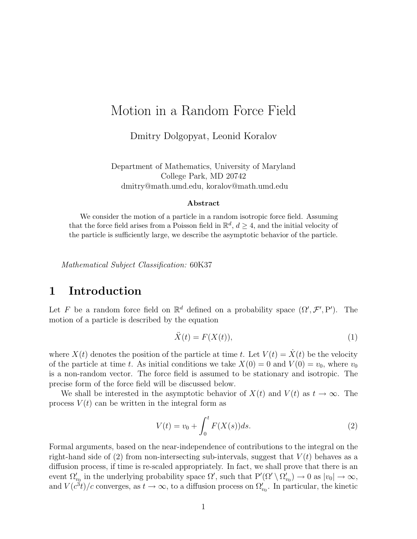# Motion in a Random Force Field

Dmitry Dolgopyat, Leonid Koralov

Department of Mathematics, University of Maryland College Park, MD 20742 dmitry@math.umd.edu, koralov@math.umd.edu

#### Abstract

We consider the motion of a particle in a random isotropic force field. Assuming that the force field arises from a Poisson field in  $\mathbb{R}^d$ ,  $d \geq 4$ , and the initial velocity of the particle is sufficiently large, we describe the asymptotic behavior of the particle.

Mathematical Subject Classification: 60K37

# 1 Introduction

Let F be a random force field on  $\mathbb{R}^d$  defined on a probability space  $(\Omega', \mathcal{F}', P')$ . The motion of a particle is described by the equation

$$
\ddot{X}(t) = F(X(t)),\tag{1}
$$

where  $X(t)$  denotes the position of the particle at time t. Let  $V(t) = \dot{X}(t)$  be the velocity of the particle at time t. As initial conditions we take  $X(0) = 0$  and  $V(0) = v_0$ , where  $v_0$ is a non-random vector. The force field is assumed to be stationary and isotropic. The precise form of the force field will be discussed below.

We shall be interested in the asymptotic behavior of  $X(t)$  and  $V(t)$  as  $t \to \infty$ . The process  $V(t)$  can be written in the integral form as

$$
V(t) = v_0 + \int_0^t F(X(s))ds.
$$
 (2)

Formal arguments, based on the near-independence of contributions to the integral on the right-hand side of (2) from non-intersecting sub-intervals, suggest that  $V(t)$  behaves as a diffusion process, if time is re-scaled appropriately. In fact, we shall prove that there is an event  $\Omega'_{v_0}$  in the underlying probability space  $\Omega'$ , such that  $P'(\Omega' \setminus \Omega'_{v_0}) \to 0$  as  $|v_0| \to \infty$ , and  $V(c^3t)/c$  converges, as  $t \to \infty$ , to a diffusion process on  $\Omega'_{v_0}$ . In particular, the kinetic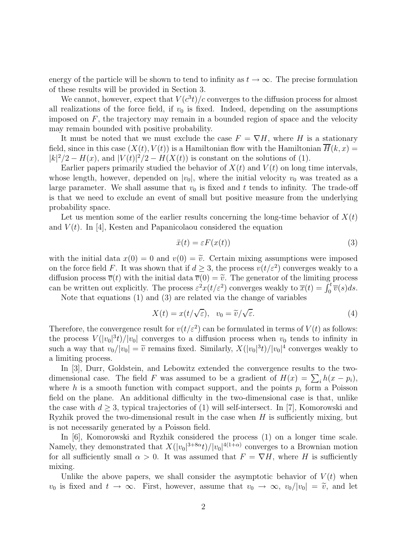energy of the particle will be shown to tend to infinity as  $t \to \infty$ . The precise formulation of these results will be provided in Section 3.

We cannot, however, expect that  $V(c^3t)/c$  converges to the diffusion process for almost all realizations of the force field, if  $v_0$  is fixed. Indeed, depending on the assumptions imposed on  $F$ , the trajectory may remain in a bounded region of space and the velocity may remain bounded with positive probability.

It must be noted that we must exclude the case  $F = \nabla H$ , where H is a stationary field, since in this case  $(X(t), V(t))$  is a Hamiltonian flow with the Hamiltonian  $\overline{H}(k, x) =$  $|k|^2/2 - H(x)$ , and  $|V(t)|^2/2 - H(X(t))$  is constant on the solutions of (1).

Earlier papers primarily studied the behavior of  $X(t)$  and  $V(t)$  on long time intervals, whose length, however, depended on  $|v_0|$ , where the initial velocity  $v_0$  was treated as a large parameter. We shall assume that  $v_0$  is fixed and t tends to infinity. The trade-off is that we need to exclude an event of small but positive measure from the underlying probability space.

Let us mention some of the earlier results concerning the long-time behavior of  $X(t)$ and  $V(t)$ . In [4], Kesten and Papanicolaou considered the equation

$$
\ddot{x}(t) = \varepsilon F(x(t))\tag{3}
$$

with the initial data  $x(0) = 0$  and  $v(0) = \tilde{v}$ . Certain mixing assumptions were imposed on the force field F. It was shown that if  $d \geq 3$ , the process  $v(t/\varepsilon^2)$  converges weakly to a diffusion process  $\overline{v}(t)$  with the initial data  $\overline{v}(0) = \tilde{v}$ . The generator of the limiting process can be written out explicitly. The process  $\varepsilon^2 x(t/\varepsilon^2)$  converges weakly to  $\overline{x}(t) = \int_0^t \overline{v}(s)ds$ .

Note that equations (1) and (3) are related via the change of variables

$$
X(t) = x(t/\sqrt{\varepsilon}), \quad v_0 = \tilde{v}/\sqrt{\varepsilon}.
$$
 (4)

Therefore, the convergence result for  $v(t/\varepsilon^2)$  can be formulated in terms of  $V(t)$  as follows: the process  $V(|v_0|^3t)/|v_0|$  converges to a diffusion process when  $v_0$  tends to infinity in such a way that  $v_0/|v_0| = \tilde{v}$  remains fixed. Similarly,  $X(|v_0|^3 t)/|v_0|^4$  converges weakly to a limiting process.

In [3], Durr, Goldstein, and Lebowitz extended the convergence results to the twodimensional case. The field F was assumed to be a gradient of  $H(x) = \sum_i h(x - p_i)$ , where h is a smooth function with compact support, and the points  $p_i$  form a Poisson field on the plane. An additional difficulty in the two-dimensional case is that, unlike the case with  $d \geq 3$ , typical trajectories of (1) will self-intersect. In [7], Komorowski and Ryzhik proved the two-dimensional result in the case when  $H$  is sufficiently mixing, but is not necessarily generated by a Poisson field.

In [6], Komorowski and Ryzhik considered the process (1) on a longer time scale. Namely, they demonstrated that  $X(|v_0|^{3+8\alpha}t)/|v_0|^{4(1+\alpha)}$  converges to a Brownian motion for all sufficiently small  $\alpha > 0$ . It was assumed that  $F = \nabla H$ , where H is sufficiently mixing.

Unlike the above papers, we shall consider the asymptotic behavior of  $V(t)$  when  $v_0$  is fixed and  $t \to \infty$ . First, however, assume that  $v_0 \to \infty$ ,  $v_0/|v_0| = \tilde{v}$ , and let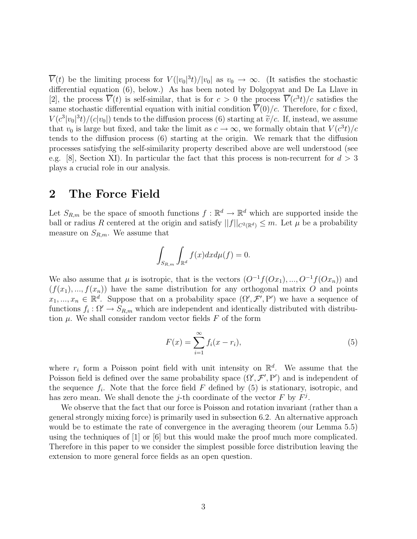$\overline{V}(t)$  be the limiting process for  $V(|v_0|^3t)/|v_0|$  as  $v_0 \to \infty$ . (It satisfies the stochastic differential equation (6), below.) As has been noted by Dolgopyat and De La Llave in [2], the process  $\overline{V}(t)$  is self-similar, that is for  $c > 0$  the process  $\overline{V}(c^3t)/c$  satisfies the same stochastic differential equation with initial condition  $\overline{V}(0)/c$ . Therefore, for c fixed,  $V(c^3|v_0|^3t)/(c|v_0|)$  tends to the diffusion process (6) starting at  $\tilde{v}/c$ . If, instead, we assume that  $v_0$  is large but fixed, and take the limit as  $c \to \infty$ , we formally obtain that  $V(c^3t)/c$ tends to the diffusion process (6) starting at the origin. We remark that the diffusion processes satisfying the self-similarity property described above are well understood (see e.g. [8], Section XI). In particular the fact that this process is non-recurrent for  $d > 3$ plays a crucial role in our analysis.

### 2 The Force Field

Let  $S_{R,m}$  be the space of smooth functions  $f : \mathbb{R}^d \to \mathbb{R}^d$  which are supported inside the ball or radius R centered at the origin and satisfy  $||f||_{C^2(\mathbb{R}^d)} \leq m$ . Let  $\mu$  be a probability measure on  $S_{R,m}$ . We assume that

$$
\int_{S_{R,m}} \int_{\mathbb{R}^d} f(x) dx d\mu(f) = 0.
$$

We also assume that  $\mu$  is isotropic, that is the vectors  $(O^{-1}f(Ox_1),..., O^{-1}f(Ox_n))$  and  $(f(x_1),..., f(x_n))$  have the same distribution for any orthogonal matrix O and points  $x_1, ..., x_n \in \mathbb{R}^d$ . Suppose that on a probability space  $(\Omega', \mathcal{F}', P')$  we have a sequence of functions  $f_i: \Omega' \to S_{R,m}$  which are independent and identically distributed with distribution  $\mu$ . We shall consider random vector fields  $F$  of the form

$$
F(x) = \sum_{i=1}^{\infty} f_i(x - r_i),
$$
\n(5)

where  $r_i$  form a Poisson point field with unit intensity on  $\mathbb{R}^d$ . We assume that the Poisson field is defined over the same probability space  $(\Omega', \mathcal{F}', P')$  and is independent of the sequence  $f_i$ . Note that the force field F defined by (5) is stationary, isotropic, and has zero mean. We shall denote the *j*-th coordinate of the vector  $F$  by  $F^j$ .

We observe that the fact that our force is Poisson and rotation invariant (rather than a general strongly mixing force) is primarily used in subsection 6.2. An alternative approach would be to estimate the rate of convergence in the averaging theorem (our Lemma 5.5) using the techniques of  $[1]$  or  $[6]$  but this would make the proof much more complicated. Therefore in this paper to we consider the simplest possible force distribution leaving the extension to more general force fields as an open question.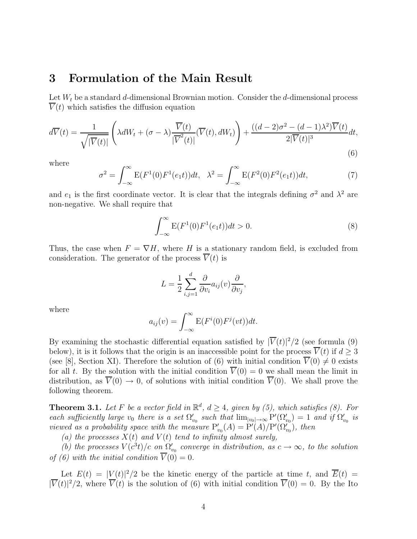### 3 Formulation of the Main Result

Let  $W_t$  be a standard d-dimensional Brownian motion. Consider the d-dimensional process  $\overline{V}(t)$  which satisfies the diffusion equation

$$
d\overline{V}(t) = \frac{1}{\sqrt{|\overline{V}(t)|}} \left( \lambda dW_t + (\sigma - \lambda) \frac{\overline{V}(t)}{|\overline{V}^2(t)|} (\overline{V}(t), dW_t) \right) + \frac{((d-2)\sigma^2 - (d-1)\lambda^2)\overline{V}(t)}{2|\overline{V}(t)|^3} dt,
$$
\n(6)

where

$$
\sigma^2 = \int_{-\infty}^{\infty} E(F^1(0)F^1(e_1 t))dt, \quad \lambda^2 = \int_{-\infty}^{\infty} E(F^2(0)F^2(e_1 t))dt,
$$
\n(7)

and  $e_1$  is the first coordinate vector. It is clear that the integrals defining  $\sigma^2$  and  $\lambda^2$  are non-negative. We shall require that

$$
\int_{-\infty}^{\infty} E(F^1(0)F^1(e_1t))dt > 0.
$$
 (8)

Thus, the case when  $F = \nabla H$ , where H is a stationary random field, is excluded from consideration. The generator of the process  $\overline{V}(t)$  is

$$
L = \frac{1}{2} \sum_{i,j=1}^{d} \frac{\partial}{\partial v_i} a_{ij}(v) \frac{\partial}{\partial v_j},
$$

where

$$
a_{ij}(v) = \int_{-\infty}^{\infty} E(F^i(0)F^j(vt))dt.
$$

By examining the stochastic differential equation satisfied by  $|\overline{V}(t)|^2/2$  (see formula (9) below), it is it follows that the origin is an inaccessible point for the process  $V(t)$  if  $d \geq 3$ (see [8], Section XI). Therefore the solution of (6) with initial condition  $\overline{V}(0) \neq 0$  exists for all t. By the solution with the initial condition  $\overline{V}(0) = 0$  we shall mean the limit in distribution, as  $\overline{V}(0) \to 0$ , of solutions with initial condition  $\overline{V}(0)$ . We shall prove the following theorem.

**Theorem 3.1.** Let F be a vector field in  $\mathbb{R}^d$ ,  $d \geq 4$ , given by (5), which satisfies (8). For each sufficiently large  $v_0$  there is a set  $\Omega'_{v_0}$  such that  $\lim_{|v_0|\to\infty} P'(\Omega'_{v_0}) = 1$  and if  $\Omega'_{v_0}$  is viewed as a probability space with the measure  $P'_{v_0}(A) = P'(A)/P'(\Omega'_{v_0})$ , then

(a) the processes  $X(t)$  and  $V(t)$  tend to infinity almost surely,

(b) the processes  $V(c^3t)/c$  on  $\Omega'_{v_0}$  converge in distribution, as  $c \to \infty$ , to the solution of (6) with the initial condition  $\overline{V}(0) = 0$ .

Let  $E(t) = |V(t)|^2/2$  be the kinetic energy of the particle at time t, and  $\overline{E}(t) =$  $|\overline{V}(t)|^2/2$ , where  $\overline{V}(t)$  is the solution of (6) with initial condition  $\overline{V}(0) = 0$ . By the Ito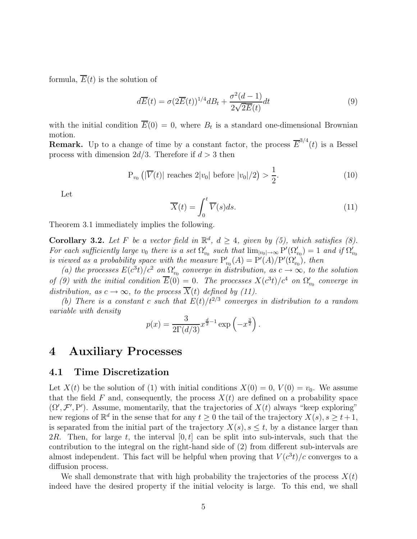formula,  $\overline{E}(t)$  is the solution of

$$
d\overline{E}(t) = \sigma (2\overline{E}(t))^{1/4} dB_t + \frac{\sigma^2 (d-1)}{2\sqrt{2E}(t)} dt
$$
\n(9)

with the initial condition  $E(0) = 0$ , where  $B_t$  is a standard one-dimensional Brownian motion.

**Remark.** Up to a change of time by a constant factor, the process  $\overline{E}^{3/4}(t)$  is a Bessel process with dimension  $2d/3$ . Therefore if  $d > 3$  then

$$
P_{v_0}(|\overline{V}(t)| \text{ reaches } 2|v_0| \text{ before } |v_0|/2) > \frac{1}{2}.
$$
 (10)

Let

$$
\overline{X}(t) = \int_0^t \overline{V}(s)ds.
$$
\n(11)

Theorem 3.1 immediately implies the following.

**Corollary 3.2.** Let F be a vector field in  $\mathbb{R}^d$ ,  $d \geq 4$ , given by (5), which satisfies (8). For each sufficiently large  $v_0$  there is a set  $\Omega'_{v_0}$  such that  $\lim_{|v_0|\to\infty} P'(\Omega'_{v_0})=1$  and if  $\Omega'_{v_0}$ is viewed as a probability space with the measure  $P'_{v_0}(A) = P'(A)/P'(\Omega'_{v_0})$ , then

(a) the processes  $E(c^3t)/c^2$  on  $\Omega'_{v_0}$  converge in distribution, as  $c \to \infty$ , to the solution of (9) with the initial condition  $\overline{E}(0) = 0$ . The processes  $X(c^3t)/c^4$  on  $\Omega'_{v_0}$  converge in distribution, as  $c \to \infty$ , to the process  $\overline{X}(t)$  defined by (11).

(b) There is a constant c such that  $E(t)/t^{2/3}$  converges in distribution to a random variable with density

$$
p(x) = \frac{3}{2\Gamma(d/3)} x^{\frac{d}{2}-1} \exp\left(-x^{\frac{3}{2}}\right).
$$

#### 4 Auxiliary Processes

#### 4.1 Time Discretization

Let  $X(t)$  be the solution of (1) with initial conditions  $X(0) = 0, V(0) = v_0$ . We assume that the field F and, consequently, the process  $X(t)$  are defined on a probability space  $(\Omega', \mathcal{F}', P')$ . Assume, momentarily, that the trajectories of  $X(t)$  always "keep exploring" new regions of  $\mathbb{R}^d$  in the sense that for any  $t \geq 0$  the tail of the trajectory  $X(s)$ ,  $s \geq t+1$ , is separated from the initial part of the trajectory  $X(s)$ ,  $s \leq t$ , by a distance larger than 2R. Then, for large t, the interval  $[0, t]$  can be split into sub-intervals, such that the contribution to the integral on the right-hand side of (2) from different sub-intervals are almost independent. This fact will be helpful when proving that  $V(c^3t)/c$  converges to a diffusion process.

We shall demonstrate that with high probability the trajectories of the process  $X(t)$ indeed have the desired property if the initial velocity is large. To this end, we shall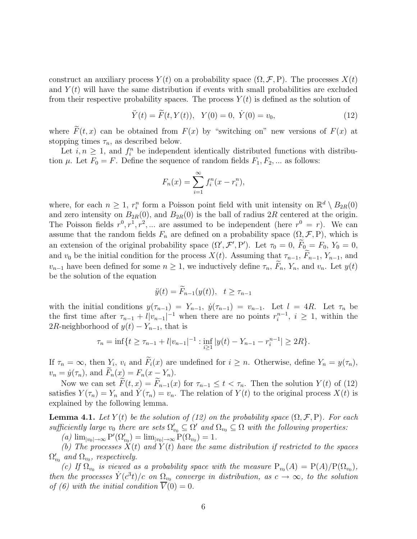construct an auxiliary process  $Y(t)$  on a probability space  $(\Omega, \mathcal{F}, P)$ . The processes  $X(t)$ and  $Y(t)$  will have the same distribution if events with small probabilities are excluded from their respective probability spaces. The process  $Y(t)$  is defined as the solution of

$$
\ddot{Y}(t) = \tilde{F}(t, Y(t)), \quad Y(0) = 0, \quad \dot{Y}(0) = v_0,
$$
\n(12)

where  $\widetilde{F}(t,x)$  can be obtained from  $F(x)$  by "switching on" new versions of  $F(x)$  at stopping times  $\tau_n$ , as described below.

Let  $i, n \geq 1$ , and  $f_i^n$  be independent identically distributed functions with distribution  $\mu$ . Let  $F_0 = F$ . Define the sequence of random fields  $F_1, F_2, \dots$  as follows:

$$
F_n(x) = \sum_{i=1}^{\infty} f_i^n(x - r_i^n),
$$

where, for each  $n \geq 1$ ,  $r_i^n$  form a Poisson point field with unit intensity on  $\mathbb{R}^d \setminus B_{2R}(0)$ and zero intensity on  $B_{2R}(0)$ , and  $B_{2R}(0)$  is the ball of radius 2R centered at the origin. The Poisson fields  $r^0, r^1, r^2, \dots$  are assumed to be independent (here  $r^0 = r$ ). We can assume that the random fields  $F_n$  are defined on a probability space  $(\Omega, \mathcal{F}, P)$ , which is an extension of the original probability space  $(\Omega', \mathcal{F}', P')$ . Let  $\tau_0 = 0$ ,  $F_0 = F_0$ ,  $Y_0 = 0$ , and  $v_0$  be the initial condition for the process  $X(t)$ . Assuming that  $\tau_{n-1}$ ,  $F_{n-1}$ ,  $Y_{n-1}$ , and  $v_{n-1}$  have been defined for some  $n \geq 1$ , we inductively define  $\tau_n$ ,  $\widetilde{F}_n$ ,  $Y_n$ , and  $v_n$ . Let  $y(t)$ be the solution of the equation

$$
\ddot{y}(t) = \widetilde{F}_{n-1}(y(t)), \quad t \ge \tau_{n-1}
$$

with the initial conditions  $y(\tau_{n-1}) = Y_{n-1}$ ,  $\dot{y}(\tau_{n-1}) = v_{n-1}$ . Let  $l = 4R$ . Let  $\tau_n$  be the first time after  $\tau_{n-1} + l|v_{n-1}|^{-1}$  when there are no points  $r_i^{n-1}$ ,  $i \geq 1$ , within the 2R-neighborhood of  $y(t) - Y_{n-1}$ , that is

$$
\tau_n = \inf\{t \ge \tau_{n-1} + l|v_{n-1}|^{-1} : \inf_{i \ge 1} |y(t) - Y_{n-1} - r_i^{n-1}| \ge 2R\}.
$$

If  $\tau_n = \infty$ , then  $Y_i$ ,  $v_i$  and  $F_i(x)$  are undefined for  $i \geq n$ . Otherwise, define  $Y_n = y(\tau_n)$ ,  $v_n = \dot{y}(\tau_n)$ , and  $\tilde{F}_n(x) = F_n(x - Y_n)$ .

Now we can set  $\widetilde{F}(t, x) = \widetilde{F}_{n-1}(x)$  for  $\tau_{n-1} \leq t < \tau_n$ . Then the solution  $Y(t)$  of (12) satisfies  $Y(\tau_n) = Y_n$  and  $Y(\tau_n) = v_n$ . The relation of  $Y(t)$  to the original process  $X(t)$  is explained by the following lemma.

**Lemma 4.1.** Let  $Y(t)$  be the solution of (12) on the probability space  $(\Omega, \mathcal{F}, P)$ . For each sufficiently large  $v_0$  there are sets  $\Omega'_{v_0} \subseteq \Omega'$  and  $\Omega_{v_0} \subseteq \Omega$  with the following properties:

 $(a) \lim_{|v_0| \to \infty} P'(\Omega'_{v_0}) = \lim_{|v_0| \to \infty} P(\Omega_{v_0}) = 1.$ 

(b) The processes  $\check{X}(t)$  and  $Y(t)$  have the same distribution if restricted to the spaces  $\Omega_{v_0}^\prime$  and  $\Omega_{v_0}$ , respectively.

(c) If  $\Omega_{v_0}$  is viewed as a probability space with the measure  $P_{v_0}(A) = P(A)/P(\Omega_{v_0}),$ then the processes  $\dot{Y}(c^3t)/c$  on  $\Omega_{v_0}$  converge in distribution, as  $c \to \infty$ , to the solution of (6) with the initial condition  $V(0) = 0$ .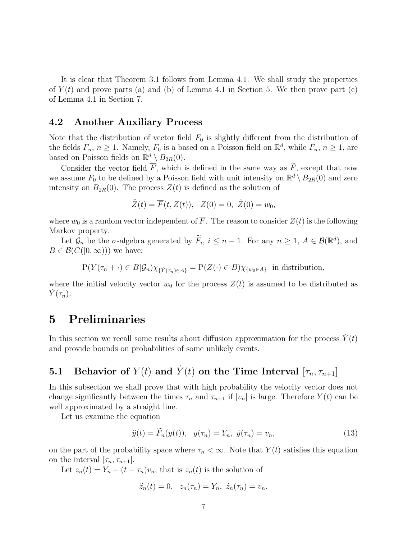It is clear that Theorem 3.1 follows from Lemma 4.1. We shall study the properties of  $Y(t)$  and prove parts (a) and (b) of Lemma 4.1 in Section 5. We then prove part (c) of Lemma 4.1 in Section 7.

#### 4.2 Another Auxiliary Process

Note that the distribution of vector field  $F_0$  is slightly different from the distribution of the fields  $F_n$ ,  $n \geq 1$ . Namely,  $F_0$  is a based on a Poisson field on  $\mathbb{R}^d$ , while  $F_n$ ,  $n \geq 1$ , are based on Poisson fields on  $\mathbb{R}^d \setminus B_{2R}(0)$ .

Consider the vector field  $\overline{F}$ , which is defined in the same way as  $\widetilde{F}$ , except that now we assume  $F_0$  to be defined by a Poisson field with unit intensity on  $\mathbb{R}^d \setminus B_{2R}(0)$  and zero intensity on  $B_{2R}(0)$ . The process  $Z(t)$  is defined as the solution of

$$
\ddot{Z}(t) = \overline{F}(t, Z(t)), \quad Z(0) = 0, \quad \dot{Z}(0) = w_0,
$$

where  $w_0$  is a random vector independent of  $\overline{F}$ . The reason to consider  $Z(t)$  is the following Markov property.

Let  $\mathcal{G}_n$  be the  $\sigma$ -algebra generated by  $\overline{F}_i$ ,  $i \leq n-1$ . For any  $n \geq 1$ ,  $A \in \mathcal{B}(\mathbb{R}^d)$ , and  $B \in \mathcal{B}(C([0,\infty)))$  we have:

 $P(Y(\tau_n + \cdot) \in B | \mathcal{G}_n) \chi_{\{Y(\tau_n) \in A\}} = P(Z(\cdot) \in B) \chi_{\{w_0 \in A\}}$  in distribution,

where the initial velocity vector  $w_0$  for the process  $Z(t)$  is assumed to be distributed as  $Y(\tau_n)$ .

# 5 Preliminaries

In this section we recall some results about diffusion approximation for the process  $Y(t)$ and provide bounds on probabilities of some unlikely events.

# 5.1 Behavior of  $Y(t)$  and  $\dot{Y}(t)$  on the Time Interval  $[\tau_n, \tau_{n+1}]$

In this subsection we shall prove that with high probability the velocity vector does not change significantly between the times  $\tau_n$  and  $\tau_{n+1}$  if  $|v_n|$  is large. Therefore  $Y(t)$  can be well approximated by a straight line.

Let us examine the equation

$$
\ddot{y}(t) = \ddot{F}_n(y(t)), \ \ y(\tau_n) = Y_n, \ \dot{y}(\tau_n) = v_n,
$$
\n(13)

on the part of the probability space where  $\tau_n < \infty$ . Note that  $Y(t)$  satisfies this equation on the interval  $[\tau_n, \tau_{n+1}].$ 

Let  $z_n(t) = Y_n + (t - \tau_n)v_n$ , that is  $z_n(t)$  is the solution of

$$
\ddot{z}_n(t) = 0, \quad z_n(\tau_n) = Y_n, \ \dot{z}_n(\tau_n) = v_n.
$$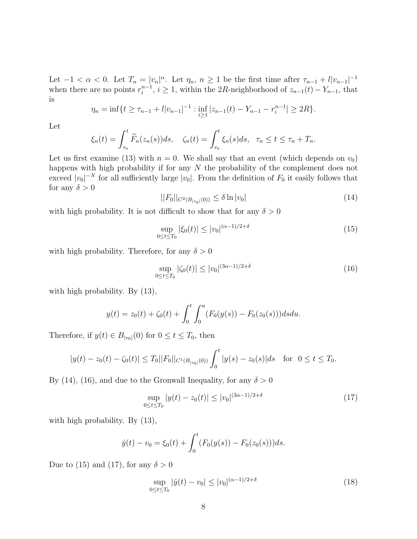Let  $-1 < \alpha < 0$ . Let  $T_n = |v_n|^\alpha$ . Let  $\eta_n, n \ge 1$  be the first time after  $\tau_{n-1} + l|v_{n-1}|^{-1}$ when there are no points  $r_i^{n-1}$ ,  $i \geq 1$ , within the 2R-neighborhood of  $z_{n-1}(t) - Y_{n-1}$ , that is

$$
\eta_n = \inf\{t \ge \tau_{n-1} + l|v_{n-1}|^{-1} : \inf_{i \ge 1} |z_{n-1}(t) - Y_{n-1} - r_i^{n-1}| \ge 2R\}.
$$

Let

$$
\xi_n(t) = \int_{\tau_n}^t \widetilde{F}_n(z_n(s))ds, \quad \zeta_n(t) = \int_{\tau_n}^t \xi_n(s)ds, \quad \tau_n \le t \le \tau_n + T_n.
$$

Let us first examine (13) with  $n = 0$ . We shall say that an event (which depends on  $v_0$ ) happens with high probability if for any N the probability of the complement does not exceed  $|v_0|^{-N}$  for all sufficiently large  $|v_0|$ . From the definition of  $F_0$  it easily follows that for any  $\delta > 0$ 

$$
||F_0||_{C^2(B_{|v_0|}(0))} \le \delta \ln |v_0| \tag{14}
$$

with high probability. It is not difficult to show that for any  $\delta > 0$ 

$$
\sup_{0 \le t \le T_0} |\xi_0(t)| \le |v_0|^{(\alpha - 1)/2 + \delta} \tag{15}
$$

with high probability. Therefore, for any  $\delta > 0$ 

$$
\sup_{0 \le t \le T_0} |\zeta_0(t)| \le |v_0|^{(3\alpha - 1)/2 + \delta} \tag{16}
$$

with high probability. By (13),

$$
y(t) = z_0(t) + \zeta_0(t) + \int_0^t \int_0^u (F_0(y(s)) - F_0(z_0(s))) ds du.
$$

Therefore, if  $y(t) \in B_{|v_0|}(0)$  for  $0 \le t \le T_0$ , then

$$
|y(t) - z_0(t) - \zeta_0(t)| \le T_0||F_0||_{C^1(B_{|v_0|}(0))} \int_0^t |y(s) - z_0(s)| ds \quad \text{for } 0 \le t \le T_0.
$$

By (14), (16), and due to the Gronwall Inequality, for any  $\delta > 0$ 

$$
\sup_{0 \le t \le T_0} |y(t) - z_0(t)| \le |v_0|^{(3\alpha - 1)/2 + \delta} \tag{17}
$$

with high probability. By (13),

$$
\dot{y}(t) - v_0 = \xi_0(t) + \int_0^t (F_0(y(s)) - F_0(z_0(s)))ds.
$$

Due to (15) and (17), for any  $\delta > 0$ 

$$
\sup_{0 \le t \le T_0} |\dot{y}(t) - v_0| \le |v_0|^{(\alpha - 1)/2 + \delta} \tag{18}
$$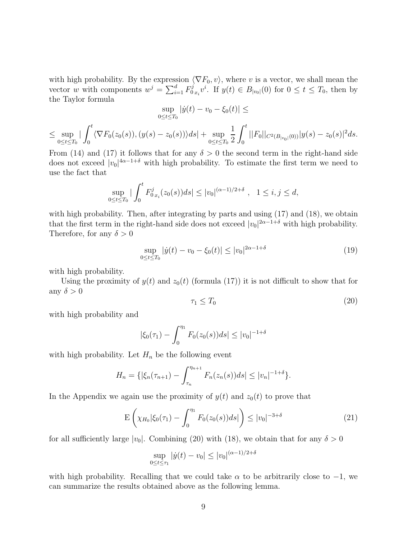with high probability. By the expression  $\langle \nabla F_0, v \rangle$ , where v is a vector, we shall mean the vector w with components  $w^j = \sum_{i=1}^d F_0^j$  $D_{0}^{j} x_i v^i$ . If  $y(t) \in B_{|v_0|}(0)$  for  $0 \le t \le T_0$ , then by the Taylor formula

$$
\sup_{0 \le t \le T_0} |\dot{y}(t) - v_0 - \xi_0(t)| \le
$$
  

$$
\le \sup_{0 \le t \le T_0} |\int_0^t \langle \nabla F_0(z_0(s)), (y(s) - z_0(s)) \rangle ds| + \sup_{0 \le t \le T_0} \frac{1}{2} \int_0^t ||F_0||_{C^2(B_{|v_0|}(0))} |y(s) - z_0(s)|^2 ds.
$$

From (14) and (17) it follows that for any  $\delta > 0$  the second term in the right-hand side does not exceed  $|v_0|^{4\alpha-1+\delta}$  with high probability. To estimate the first term we need to use the fact that

$$
\sup_{0\leq t\leq T_0}|\int_0^t F_{0\,x_i}^j(z_0(s))ds|\leq |v_0|^{(\alpha-1)/2+\delta}\;,\;\;1\leq i,j\leq d,
$$

with high probability. Then, after integrating by parts and using  $(17)$  and  $(18)$ , we obtain that the first term in the right-hand side does not exceed  $|v_0|^{2\alpha-1+\delta}$  with high probability. Therefore, for any  $\delta > 0$ 

$$
\sup_{0 \le t \le T_0} |\dot{y}(t) - v_0 - \xi_0(t)| \le |v_0|^{2\alpha - 1 + \delta} \tag{19}
$$

with high probability.

Using the proximity of  $y(t)$  and  $z_0(t)$  (formula (17)) it is not difficult to show that for any  $\delta > 0$ 

$$
\tau_1 \le T_0 \tag{20}
$$

with high probability and

$$
|\xi_0(\tau_1) - \int_0^{\eta_1} F_0(z_0(s))ds| \le |v_0|^{-1+\delta}
$$

with high probability. Let  $H_n$  be the following event

$$
H_n = \{ |\xi_n(\tau_{n+1}) - \int_{\tau_n}^{\eta_{n+1}} F_n(z_n(s))ds| \le |v_n|^{-1+\delta} \}.
$$

In the Appendix we again use the proximity of  $y(t)$  and  $z_0(t)$  to prove that

$$
\mathcal{E}\left(\chi_{H_0}|\xi_0(\tau_1) - \int_0^{\eta_1} F_0(z_0(s))ds|\right) \le |v_0|^{-3+\delta} \tag{21}
$$

for all sufficiently large  $|v_0|$ . Combining (20) with (18), we obtain that for any  $\delta > 0$ 

$$
\sup_{0 \le t \le \tau_1} |\dot{y}(t) - v_0| \le |v_0|^{(\alpha - 1)/2 + \delta}
$$

with high probability. Recalling that we could take  $\alpha$  to be arbitrarily close to  $-1$ , we can summarize the results obtained above as the following lemma.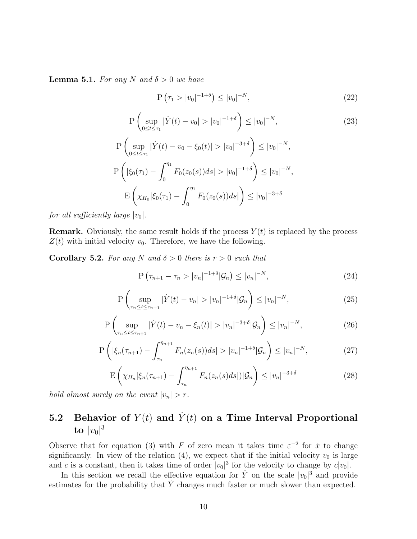**Lemma 5.1.** For any N and  $\delta > 0$  we have

$$
P(\tau_1 > |v_0|^{-1+\delta}) \le |v_0|^{-N}, \tag{22}
$$

$$
P\left(\sup_{0\leq t\leq\tau_1}|\dot{Y}(t)-v_0|>|v_0|^{-1+\delta}\right)\leq|v_0|^{-N},\tag{23}
$$

$$
P\left(\sup_{0\leq t\leq\tau_1} |\dot{Y}(t) - v_0 - \xi_0(t)| > |v_0|^{-3+\delta}\right) \leq |v_0|^{-N},
$$
  
\n
$$
P\left(|\xi_0(\tau_1) - \int_0^{\eta_1} F_0(z_0(s))ds| > |v_0|^{-1+\delta}\right) \leq |v_0|^{-N},
$$
  
\n
$$
E\left(\chi_{H_0}|\xi_0(\tau_1) - \int_0^{\eta_1} F_0(z_0(s))ds|\right) \leq |v_0|^{-3+\delta}
$$

for all sufficiently large  $|v_0|$ .

**Remark.** Obviously, the same result holds if the process  $Y(t)$  is replaced by the process  $Z(t)$  with initial velocity  $v_0$ . Therefore, we have the following.

**Corollary 5.2.** For any N and  $\delta > 0$  there is  $r > 0$  such that

$$
P\left(\tau_{n+1} - \tau_n > |v_n|^{-1+\delta} | \mathcal{G}_n \right) \le |v_n|^{-N},\tag{24}
$$

$$
P\left(\sup_{\tau_n\leq t\leq\tau_{n+1}}|\dot{Y}(t)-v_n|>|v_n|^{-1+\delta}|\mathcal{G}_n\right)\leq|v_n|^{-N},\tag{25}
$$

$$
P\left(\sup_{\tau_n \le t \le \tau_{n+1}} |\dot{Y}(t) - v_n - \xi_n(t)| > |v_n|^{-3+\delta} |\mathcal{G}_n \right) \le |v_n|^{-N},\tag{26}
$$

$$
P\left(|\xi_n(\tau_{n+1}) - \int_{\tau_n}^{\eta_{n+1}} F_n(z_n(s))ds| > |v_n|^{-1+\delta} |\mathcal{G}_n\right) \le |v_n|^{-N},\tag{27}
$$

$$
\mathcal{E}\left(\chi_{H_n}|\xi_n(\tau_{n+1})-\int_{\tau_n}^{\eta_{n+1}}F_n(z_n(s)ds)|\mathcal{G}_n\right)\leq |v_n|^{-3+\delta} \tag{28}
$$

hold almost surely on the event  $|v_n| > r$ .

# 5.2 Behavior of  $Y(t)$  and  $\dot{Y}(t)$  on a Time Interval Proportional to  $|v_0|^3$

Observe that for equation (3) with F of zero mean it takes time  $\varepsilon^{-2}$  for  $\dot{x}$  to change significantly. In view of the relation (4), we expect that if the initial velocity  $v_0$  is large and c is a constant, then it takes time of order  $|v_0|^3$  for the velocity to change by  $c|v_0|$ .

In this section we recall the effective equation for  $\dot{Y}$  on the scale  $|v_0|^3$  and provide estimates for the probability that  $\dot{Y}$  changes much faster or much slower than expected.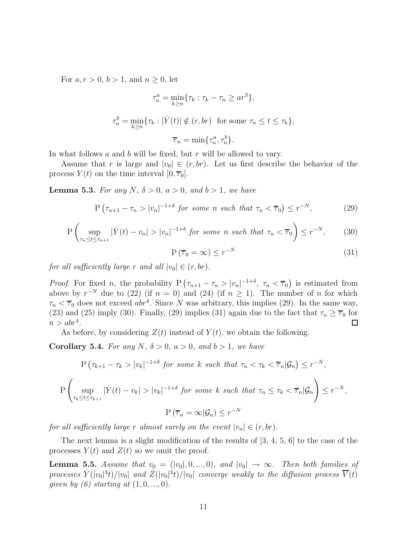For  $a, r > 0, b > 1$ , and  $n \geq 0$ , let

$$
\tau_n^a = \min_{k \ge n} \{ \tau_k : \tau_k - \tau_n \ge ar^3 \},
$$
  

$$
\tau_n^b = \min_{k \ge n} \{ \tau_k : |\dot{Y}(t)| \notin (r, br) \text{ for some } \tau_n \le t \le \tau_k \},
$$
  

$$
\overline{\tau}_n = \min \{ \tau_n^a, \tau_n^b \}.
$$

In what follows a and b will be fixed, but r will be allowed to vary.

Assume that r is large and  $|v_0| \in (r, br)$ . Let us first describe the behavior of the process  $Y(t)$  on the time interval  $[0, \overline{\tau}_0]$ .

**Lemma 5.3.** For any N,  $\delta > 0$ ,  $a > 0$ , and  $b > 1$ , we have

$$
P\left(\tau_{n+1} - \tau_n > |v_n|^{-1+\delta} \text{ for some } n \text{ such that } \tau_n < \overline{\tau}_0\right) \le r^{-N},\tag{29}
$$

$$
P\left(\sup_{\tau_n\leq t\leq\tau_{n+1}}|\dot{Y}(t)-v_n|>|v_n|^{-1+\delta}\text{ for some }n\text{ such that }\tau_n<\overline{\tau}_0\right)\leq r^{-N},\qquad(30)
$$

$$
P\left(\overline{\tau}_0 = \infty\right) \le r^{-N} \tag{31}
$$

for all sufficiently large r and all  $|v_0| \in (r, br)$ .

*Proof.* For fixed *n*, the probability  $P\left(\tau_{n+1} - \tau_n > |v_n|^{-1+\delta}, \tau_n < \overline{\tau}_0\right)$  is estimated from above by  $r^{-N}$  due to (22) (if  $n = 0$ ) and (24) (if  $n \ge 1$ ). The number of n for which  $\tau_n < \overline{\tau}_0$  does not exceed abr<sup>4</sup>. Since N was arbitrary, this implies (29). In the same way, (23) and (25) imply (30). Finally, (29) implies (31) again due to the fact that  $\tau_n \geq \overline{\tau}_0$  for  $n > abr<sup>4</sup>$ .  $\Box$ 

As before, by considering  $Z(t)$  instead of  $Y(t)$ , we obtain the following.

**Corollary 5.4.** For any N,  $\delta > 0$ ,  $a > 0$ , and  $b > 1$ , we have

$$
P\left(\tau_{k+1} - \tau_k > |v_k|^{-1+\delta} \text{ for some } k \text{ such that } \tau_n < \tau_k < \overline{\tau}_n | \mathcal{G}_n \right) \le r^{-N},
$$
\n
$$
P\left(\sup_{\tau_k \le t \le \tau_{k+1}} |\dot{Y}(t) - v_k| > |v_k|^{-1+\delta} \text{ for some } k \text{ such that } \tau_n \le \tau_k < \overline{\tau}_n | \mathcal{G}_n \right) \le r^{-N},
$$
\n
$$
P\left(\overline{\tau}_n = \infty | \mathcal{G}_n \right) \le r^{-N}
$$

for all sufficiently large r almost surely on the event  $|v_n| \in (r, br)$ .

The next lemma is a slight modification of the results of [3, 4, 5, 6] to the case of the processes  $Y(t)$  and  $Z(t)$  so we omit the proof.

**Lemma 5.5.** Assume that  $v_0 = (|v_0|, 0, ..., 0)$ , and  $|v_0| \rightarrow \infty$ . Then both families of processes  $Y(|v_0|^3t)/|v_0|$  and  $Z(|v_0|^3t)/|v_0|$  converge weakly to the diffusion process  $\overline{V}(t)$ given by (6) starting at  $(1, 0, ..., 0)$ .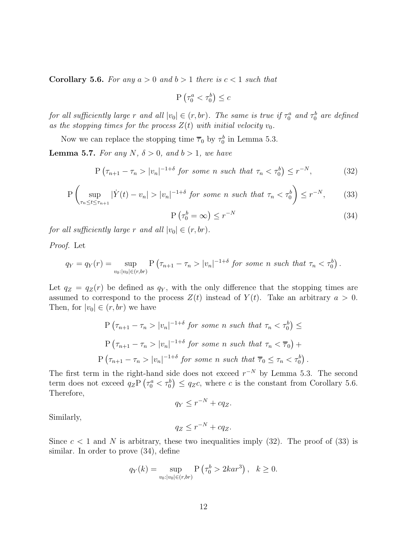**Corollary 5.6.** For any  $a > 0$  and  $b > 1$  there is  $c < 1$  such that

$$
\mathbf{P}\left(\tau_0^a < \tau_0^b\right) \leq c
$$

for all sufficiently large r and all  $|v_0| \in (r, br)$ . The same is true if  $\tau_0^a$  and  $\tau_0^b$  are defined as the stopping times for the process  $Z(t)$  with initial velocity  $v_0$ .

Now we can replace the stopping time  $\overline{\tau}_0$  by  $\tau_0^b$  in Lemma 5.3.

**Lemma 5.7.** For any N,  $\delta > 0$ , and  $b > 1$ , we have

$$
P\left(\tau_{n+1} - \tau_n > |v_n|^{-1+\delta} \text{ for some } n \text{ such that } \tau_n < \tau_0^b\right) \le r^{-N},\tag{32}
$$

$$
P\left(\sup_{\tau_n\leq t\leq\tau_{n+1}}|\dot{Y}(t)-v_n|>|v_n|^{-1+\delta}\text{ for some }n\text{ such that }\tau_n<\tau_0^b\right)\leq r^{-N},\qquad(33)
$$

$$
P\left(\tau_0^b = \infty\right) \le r^{-N} \tag{34}
$$

for all sufficiently large r and all  $|v_0| \in (r, br)$ .

Proof. Let

$$
q_Y = q_Y(r) = \sup_{v_0:|v_0| \in (r,br)} P\left(\tau_{n+1} - \tau_n > |v_n|^{-1+\delta} \text{ for some } n \text{ such that } \tau_n < \tau_0^b\right).
$$

Let  $q_Z = q_Z(r)$  be defined as  $q_Y$ , with the only difference that the stopping times are assumed to correspond to the process  $Z(t)$  instead of  $Y(t)$ . Take an arbitrary  $a > 0$ . Then, for  $|v_0| \in (r, br)$  we have

$$
\begin{aligned} \text{P } \left( \tau_{n+1} - \tau_n > |v_n|^{-1+\delta} \text{ for some } n \text{ such that } \tau_n < \tau_0^b \right) < \\ \text{P } \left( \tau_{n+1} - \tau_n > |v_n|^{-1+\delta} \text{ for some } n \text{ such that } \tau_n < \overline{\tau}_0 \right) + \\ \text{P } \left( \tau_{n+1} - \tau_n > |v_n|^{-1+\delta} \text{ for some } n \text{ such that } \overline{\tau}_0 \leq \tau_n < \tau_0^b \right). \end{aligned}
$$

The first term in the right-hand side does not exceed  $r^{-N}$  by Lemma 5.3. The second term does not exceed  $q_Z \mathbf{P}(\tau_0^a < \tau_0^b) \leq q_Z c$ , where c is the constant from Corollary 5.6. Therefore,

$$
q_Y \le r^{-N} + cq_Z.
$$

Similarly,

$$
q_Z \le r^{-N} + cq_Z.
$$

Since  $c < 1$  and N is arbitrary, these two inequalities imply (32). The proof of (33) is similar. In order to prove (34), define

$$
q_Y(k) = \sup_{v_0: |v_0| \in (r, br)} \mathbf{P}\left(\tau_0^b > 2kar^3\right), \quad k \ge 0.
$$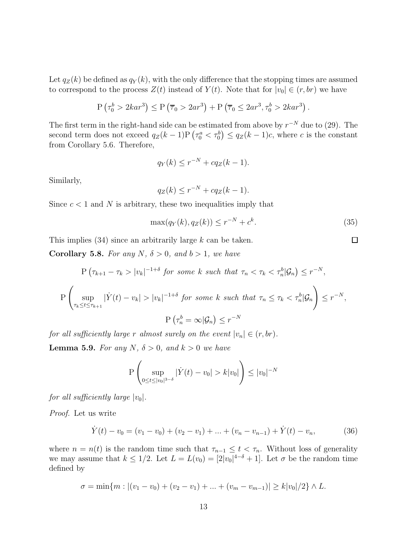Let  $q_Z(k)$  be defined as  $q_Y(k)$ , with the only difference that the stopping times are assumed to correspond to the process  $Z(t)$  instead of  $Y(t)$ . Note that for  $|v_0| \in (r, br)$  we have

$$
P\left(\tau_0^b > 2kar^3\right) \le P\left(\overline{\tau}_0 > 2ar^3\right) + P\left(\overline{\tau}_0 \le 2ar^3, \tau_0^b > 2kar^3\right).
$$

The first term in the right-hand side can be estimated from above by  $r^{-N}$  due to (29). The second term does not exceed  $q_Z(k-1)P\left(\tau_0^a < \tau_0^b\right) \leq q_Z(k-1)c$ , where c is the constant from Corollary 5.6. Therefore,

$$
q_Y(k) \le r^{-N} + cq_Z(k-1).
$$

Similarly,

$$
q_Z(k) \le r^{-N} + cq_Z(k-1).
$$

Since  $c < 1$  and N is arbitrary, these two inequalities imply that

$$
\max(q_Y(k), q_Z(k)) \le r^{-N} + c^k. \tag{35}
$$

 $\Box$ 

This implies  $(34)$  since an arbitrarily large k can be taken.

**Corollary 5.8.** For any N,  $\delta > 0$ , and  $b > 1$ , we have

$$
P\left(\tau_{k+1} - \tau_k > |v_k|^{-1+\delta} \text{ for some } k \text{ such that } \tau_n < \tau_k < \tau_n^b | \mathcal{G}_n \right) \le r^{-N},
$$
\n
$$
P\left(\sup_{\tau_k \le t \le \tau_{k+1}} |\dot{Y}(t) - v_k| > |v_k|^{-1+\delta} \text{ for some } k \text{ such that } \tau_n \le \tau_k < \tau_n^b | \mathcal{G}_n \right) \le r^{-N},
$$
\n
$$
P\left(\tau_n^b = \infty | \mathcal{G}_n \right) \le r^{-N}
$$

for all sufficiently large r almost surely on the event  $|v_n| \in (r, br)$ . **Lemma 5.9.** For any N,  $\delta > 0$ , and  $k > 0$  we have

$$
P\left(\sup_{0\leq t\leq |v_0|^{3-\delta}} |\dot{Y}(t) - v_0| > k|v_0|\right) \leq |v_0|^{-N}
$$

for all sufficiently large  $|v_0|$ .

Proof. Let us write

$$
\dot{Y}(t) - v_0 = (v_1 - v_0) + (v_2 - v_1) + \dots + (v_n - v_{n-1}) + \dot{Y}(t) - v_n,
$$
\n(36)

where  $n = n(t)$  is the random time such that  $\tau_{n-1} \leq t < \tau_n$ . Without loss of generality we may assume that  $k \leq 1/2$ . Let  $L = L(v_0) = [2|v_0|^{4-\delta} + 1]$ . Let  $\sigma$  be the random time defined by

$$
\sigma = \min\{m : |(v_1 - v_0) + (v_2 - v_1) + \dots + (v_m - v_{m-1})| \ge k|v_0|/2\} \wedge L.
$$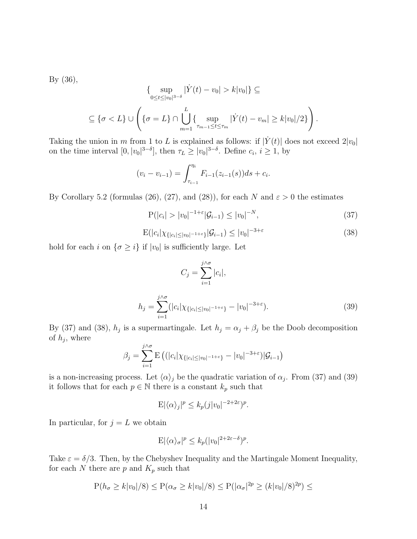By (36),

$$
\{ \sup_{0 \le t \le |v_0|^{3-\delta}} |\dot{Y}(t) - v_0| > k |v_0| \} \subseteq
$$
  

$$
\subseteq \{ \sigma < L \} \cup \left( \{ \sigma = L \} \cap \bigcup_{m=1}^L \{ \sup_{\tau_{m-1} \le t \le \tau_m} |\dot{Y}(t) - v_m| \ge k |v_0|/2 \} \right).
$$

Taking the union in m from 1 to L is explained as follows: if  $|\dot{Y}(t)|$  does not exceed  $2|v_0|$ on the time interval  $[0, |v_0|^{3-\delta}]$ , then  $\tau_L \geq |v_0|^{3-\delta}$ . Define  $c_i, i \geq 1$ , by

$$
(v_i - v_{i-1}) = \int_{\tau_{i-1}}^{\eta_i} F_{i-1}(z_{i-1}(s))ds + c_i.
$$

By Corollary 5.2 (formulas (26), (27), and (28)), for each N and  $\varepsilon > 0$  the estimates

$$
P(|c_i| > |v_0|^{-1+\varepsilon} |\mathcal{G}_{i-1}) \le |v_0|^{-N},\tag{37}
$$

$$
E(|c_i|\chi_{\{|c_i|\leq |v_0|^{-1+\varepsilon}\}}|\mathcal{G}_{i-1}) \leq |v_0|^{-3+\varepsilon} \tag{38}
$$

hold for each i on  $\{\sigma \geq i\}$  if  $|v_0|$  is sufficiently large. Let

$$
C_j = \sum_{i=1}^{j \wedge \sigma} |c_i|,
$$
  

$$
h_j = \sum_{i=1}^{j \wedge \sigma} (|c_i| \chi_{\{|c_i| \le |v_0|^{-1+\epsilon}\}} - |v_0|^{-3+\epsilon}).
$$
 (39)

By (37) and (38),  $h_j$  is a supermartingale. Let  $h_j = \alpha_j + \beta_j$  be the Doob decomposition of  $h_j$ , where

$$
\beta_j = \sum_{i=1}^{j \wedge \sigma} \mathbb{E}\left( (|c_i|\chi_{\{|c_i| \le |v_0|^{-1+\epsilon}\}} - |v_0|^{-3+\epsilon}) | \mathcal{G}_{i-1} \right)
$$

is a non-increasing process. Let  $\langle \alpha \rangle_j$  be the quadratic variation of  $\alpha_j$ . From (37) and (39) it follows that for each  $p \in \mathbb{N}$  there is a constant  $k_p$  such that

$$
E|\langle \alpha \rangle_j|^p \le k_p(j|v_0|^{-2+2\varepsilon})^p.
$$

In particular, for  $j = L$  we obtain

$$
E|\langle \alpha \rangle_{\sigma}|^p \le k_p (|v_0|^{2+2\varepsilon-\delta})^p.
$$

Take  $\varepsilon = \delta/3$ . Then, by the Chebyshev Inequality and the Martingale Moment Inequality, for each  $N$  there are  $p$  and  $K_p$  such that

$$
P(h_{\sigma} \ge k|v_0|/8) \le P(\alpha_{\sigma} \ge k|v_0|/8) \le P(|\alpha_{\sigma}|^{2p} \ge (k|v_0|/8)^{2p}) \le
$$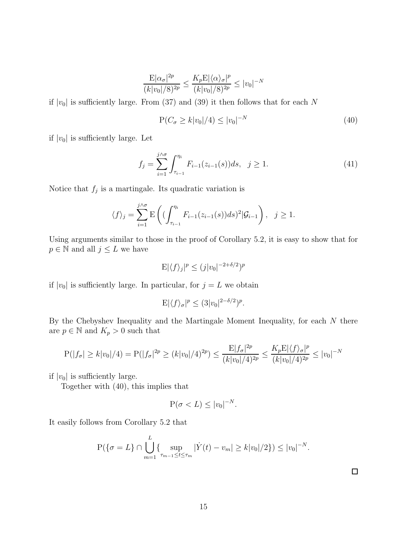$$
\frac{\mathcal{E}|\alpha_{\sigma}|^{2p}}{(k|v_0|/8)^{2p}} \le \frac{K_p \mathcal{E}|\langle \alpha \rangle_{\sigma}|^p}{(k|v_0|/8)^{2p}} \le |v_0|^{-N}
$$

if  $|v_0|$  is sufficiently large. From (37) and (39) it then follows that for each N

$$
P(C_{\sigma} \ge k|v_0|/4) \le |v_0|^{-N}
$$
\n(40)

if  $|v_0|$  is sufficiently large. Let

$$
f_j = \sum_{i=1}^{j \wedge \sigma} \int_{\tau_{i-1}}^{\eta_i} F_{i-1}(z_{i-1}(s)) ds, \ \ j \ge 1.
$$
 (41)

Notice that  $f_j$  is a martingale. Its quadratic variation is

$$
\langle f \rangle_j = \sum_{i=1}^{j \wedge \sigma} \mathbb{E}\left( \left( \int_{\tau_{i-1}}^{\eta_i} F_{i-1}(z_{i-1}(s)) ds \right)^2 | \mathcal{G}_{i-1} \right), \quad j \ge 1.
$$

Using arguments similar to those in the proof of Corollary 5.2, it is easy to show that for  $p\in\mathbb{N}$  and all  $j\leq L$  we have

$$
E|\langle f \rangle_j|^p \le (j|v_0|^{-2+\delta/2})^p
$$

if  $|v_0|$  is sufficiently large. In particular, for  $j = L$  we obtain

$$
E|\langle f \rangle_{\sigma}|^p \le (3|v_0|^{2-\delta/2})^p.
$$

By the Chebyshev Inequality and the Martingale Moment Inequality, for each  $N$  there are  $p \in \mathbb{N}$  and  $K_p > 0$  such that

$$
P(|f_{\sigma}| \ge k |v_0|/4) = P(|f_{\sigma}|^{2p} \ge (k |v_0|/4)^{2p}) \le \frac{E|f_{\sigma}|^{2p}}{(k |v_0|/4)^{2p}} \le \frac{K_p E|\langle f \rangle_{\sigma}|^p}{(k |v_0|/4)^{2p}} \le |v_0|^{-N}
$$

if  $|v_0|$  is sufficiently large.

Together with (40), this implies that

$$
P(\sigma < L) \le |v_0|^{-N}.
$$

It easily follows from Corollary 5.2 that

$$
P(\{\sigma = L\} \cap \bigcup_{m=1}^{L} \{\sup_{\tau_{m-1} \le t \le \tau_m} |\dot{Y}(t) - v_m| \ge k |v_0|/2\}) \le |v_0|^{-N}.
$$

 $\Box$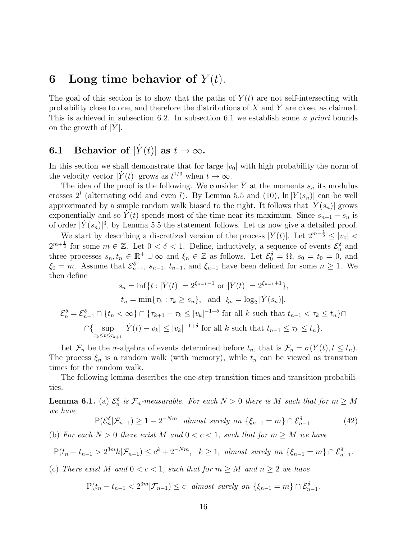## 6 Long time behavior of  $Y(t)$ .

The goal of this section is to show that the paths of  $Y(t)$  are not self-intersecting with probability close to one, and therefore the distributions of X and Y are close, as claimed. This is achieved in subsection 6.2. In subsection 6.1 we establish some a priori bounds on the growth of  $|\dot{Y}|$ .

# **6.1** Behavior of  $|\dot{Y}(t)|$  as  $t \to \infty$ .

In this section we shall demonstrate that for large  $|v_0|$  with high probability the norm of the velocity vector  $|\dot{Y}(t)|$  grows as  $t^{1/3}$  when  $t \to \infty$ .

The idea of the proof is the following. We consider  $\dot{Y}$  at the moments  $s_n$  its modulus crosses  $2^l$  (alternating odd and even *l*). By Lemma 5.5 and (10),  $\ln |Y(s_n)|$  can be well approximated by a simple random walk biased to the right. It follows that  $|Y(s_n)|$  grows exponentially and so  $Y(t)$  spends most of the time near its maximum. Since  $s_{n+1} - s_n$  is of order  $|Y(s_n)|^3$ , by Lemma 5.5 the statement follows. Let us now give a detailed proof.

We start by describing a discretized version of the process  $|\dot{Y}(t)|$ . Let  $2^{m-\frac{1}{2}} \leq |v_0|$  $2^{m+\frac{1}{2}}$  for some  $m \in \mathbb{Z}$ . Let  $0 < \delta < 1$ . Define, inductively, a sequence of events  $\mathcal{E}_n^{\delta}$  and three processes  $s_n, t_n \in \mathbb{R}^+ \cup \infty$  and  $\xi_n \in \mathbb{Z}$  as follows. Let  $\mathcal{E}_0^{\delta} = \Omega$ ,  $s_0 = t_0 = 0$ , and  $\xi_0 = m$ . Assume that  $\mathcal{E}_{n-1}^{\delta}$ ,  $s_{n-1}$ ,  $t_{n-1}$ , and  $\xi_{n-1}$  have been defined for some  $n \geq 1$ . We then define

$$
s_n = \inf\{t : |\dot{Y}(t)| = 2^{\xi_{n-1}-1} \text{ or } |\dot{Y}(t)| = 2^{\xi_{n-1}+1}\},
$$
  
\n
$$
t_n = \min\{\tau_k : \tau_k \ge s_n\}, \text{ and } \xi_n = \log_2 |\dot{Y}(s_n)|.
$$
  
\n
$$
\mathcal{E}_n^{\delta} = \mathcal{E}_{n-1}^{\delta} \cap \{t_n < \infty\} \cap \{\tau_{k+1} - \tau_k \le |v_k|^{-1+\delta} \text{ for all } k \text{ such that } t_{n-1} < \tau_k \le t_n\} \cap
$$
  
\n
$$
\cap \{ \sup_{\tau_k \le t \le \tau_{k+1}} |\dot{Y}(t) - v_k| \le |v_k|^{-1+\delta} \text{ for all } k \text{ such that } t_{n-1} \le \tau_k \le t_n \}.
$$

Let  $\mathcal{F}_n$  be the  $\sigma$ -algebra of events determined before  $t_n$ , that is  $\mathcal{F}_n = \sigma(Y(t), t \leq t_n)$ . The process  $\xi_n$  is a random walk (with memory), while  $t_n$  can be viewed as transition times for the random walk.

The following lemma describes the one-step transition times and transition probabilities.

**Lemma 6.1.** (a)  $\mathcal{E}_n^{\delta}$  is  $\mathcal{F}_n$ -measurable. For each  $N > 0$  there is M such that for  $m \geq M$ we have

$$
P(\mathcal{E}_n^{\delta}|\mathcal{F}_{n-1}) \ge 1 - 2^{-Nm} \quad almost \quad surely \quad on \quad \{\xi_{n-1} = m\} \cap \mathcal{E}_{n-1}^{\delta}.
$$
 (42)

(b) For each  $N > 0$  there exist M and  $0 < c < 1$ , such that for  $m \geq M$  we have

$$
P(t_n - t_{n-1} > 2^{3m} k | \mathcal{F}_{n-1}) \le c^k + 2^{-Nm}, \quad k \ge 1, \text{ almost surely on } \{\xi_{n-1} = m\} \cap \mathcal{E}_{n-1}^{\delta}.
$$

(c) There exist M and  $0 < c < 1$ , such that for  $m \geq M$  and  $n \geq 2$  we have

$$
P(t_n - t_{n-1} < 2^{3m} | \mathcal{F}_{n-1}) \le c \quad almost \text{ surely on } \{\xi_{n-1} = m\} \cap \mathcal{E}_{n-1}^{\delta}.
$$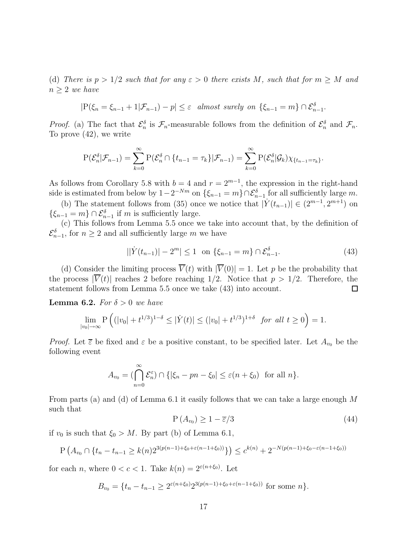(d) There is  $p > 1/2$  such that for any  $\varepsilon > 0$  there exists M, such that for  $m \geq M$  and  $n \geq 2$  we have

$$
|\mathcal{P}(\xi_n = \xi_{n-1} + 1 | \mathcal{F}_{n-1}) - p| \le \varepsilon \text{ almost surely on } \{\xi_{n-1} = m\} \cap \mathcal{E}_{n-1}^{\delta}.
$$

*Proof.* (a) The fact that  $\mathcal{E}_n^{\delta}$  is  $\mathcal{F}_n$ -measurable follows from the definition of  $\mathcal{E}_n^{\delta}$  and  $\mathcal{F}_n$ . To prove (42), we write

$$
\mathrm{P}(\mathcal{E}_n^{\delta}|\mathcal{F}_{n-1})=\sum_{k=0}^{\infty}\mathrm{P}(\mathcal{E}_n^{\delta}\cap\{t_{n-1}=\tau_k\}|\mathcal{F}_{n-1})=\sum_{k=0}^{\infty}\mathrm{P}(\mathcal{E}_n^{\delta}|\mathcal{G}_k)\chi_{\{t_{n-1}=\tau_k\}}.
$$

As follows from Corollary 5.8 with  $b = 4$  and  $r = 2^{m-1}$ , the expression in the right-hand side is estimated from below by  $1-2^{-Nm}$  on  $\{\xi_{n-1}=m\}\cap \mathcal{E}_{n-1}^{\delta}$  for all sufficiently large m.

(b) The statement follows from (35) once we notice that  $|\dot{Y}(t_{n-1})| \in (2^{m-1}, 2^{m+1})$  on  $\{\xi_{n-1} = m\} \cap \mathcal{E}_{n-1}^{\delta}$  if m is sufficiently large.

(c) This follows from Lemma 5.5 once we take into account that, by the definition of  $\mathcal{E}_{n-1}^{\delta}$ , for  $n \geq 2$  and all sufficiently large m we have

$$
||\dot{Y}(t_{n-1})| - 2^m| \le 1 \quad \text{on } \{\xi_{n-1} = m\} \cap \mathcal{E}_{n-1}^{\delta}.
$$
 (43)

(d) Consider the limiting process  $\overline{V}(t)$  with  $|\overline{V}(0)| = 1$ . Let p be the probability that the process  $|\overline{V}(t)|$  reaches 2 before reaching 1/2. Notice that  $p > 1/2$ . Therefore, the statement follows from Lemma 5.5 once we take (43) into account. statement follows from Lemma 5.5 once we take (43) into account.

**Lemma 6.2.** For  $\delta > 0$  we have

$$
\lim_{|v_0| \to \infty} \mathbf{P}\left((|v_0| + t^{1/3})^{1-\delta} \le |\dot{Y}(t)| \le (|v_0| + t^{1/3})^{1+\delta} \text{ for all } t \ge 0\right) = 1.
$$

*Proof.* Let  $\bar{\varepsilon}$  be fixed and  $\varepsilon$  be a positive constant, to be specified later. Let  $A_{v_0}$  be the following event

$$
A_{v_0} = (\bigcap_{n=0}^{\infty} \mathcal{E}_n^{\varepsilon}) \cap \{ |\xi_n - pn - \xi_0| \le \varepsilon (n + \xi_0) \text{ for all } n \}.
$$

From parts (a) and (d) of Lemma 6.1 it easily follows that we can take a large enough  $M$ such that

$$
P(A_{v_0}) \ge 1 - \overline{\varepsilon}/3 \tag{44}
$$

if  $v_0$  is such that  $\xi_0 > M$ . By part (b) of Lemma 6.1,

$$
P\left(A_{v_0} \cap \{t_n - t_{n-1} \ge k(n)2^{3(p(n-1) + \xi_0 + \varepsilon(n-1+\xi_0))}\}\right) \le c^{k(n)} + 2^{-N(p(n-1) + \xi_0 - \varepsilon(n-1+\xi_0))}
$$

for each *n*, where  $0 < c < 1$ . Take  $k(n) = 2^{\varepsilon(n+\xi_0)}$ . Let

$$
B_{v_0} = \{t_n - t_{n-1} \ge 2^{\varepsilon(n+\xi_0)} 2^{3(p(n-1)+\xi_0+\varepsilon(n-1+\xi_0))} \text{ for some } n\}.
$$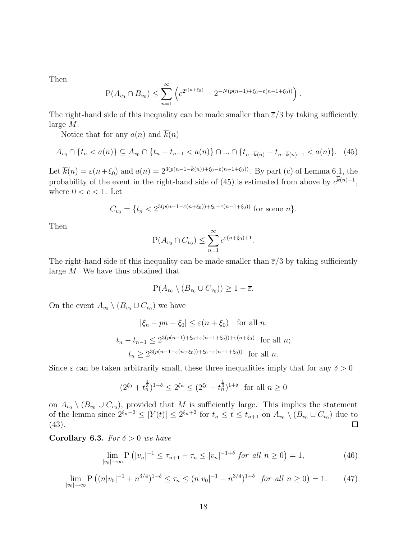Then

$$
P(A_{v_0} \cap B_{v_0}) \le \sum_{n=1}^{\infty} \left( c^{2^{\varepsilon(n+\xi_0)}} + 2^{-N(p(n-1)+\xi_0-\varepsilon(n-1+\xi_0))} \right).
$$

The right-hand side of this inequality can be made smaller than  $\overline{\varepsilon}/3$  by taking sufficiently large M.

Notice that for any  $a(n)$  and  $\overline{k}(n)$ 

$$
A_{v_0} \cap \{t_n < a(n)\} \subseteq A_{v_0} \cap \{t_n - t_{n-1} < a(n)\} \cap \dots \cap \{t_{n - \overline{k}(n)} - t_{n - \overline{k}(n) - 1} < a(n)\}. \tag{45}
$$

Let  $\overline{k}(n) = \varepsilon(n+\xi_0)$  and  $a(n) = 2^{3(p(n-1-\overline{k}(n))+\xi_0-\varepsilon(n-1+\xi_0))}$ . By part (c) of Lemma 6.1, the probability of the event in the right-hand side of (45) is estimated from above by  $c^{k(n)+1}$ , where  $0 < c < 1$ . Let

$$
C_{v_0} = \{t_n < 2^{3(p(n-1-\varepsilon(n+\xi_0))+\xi_0-\varepsilon(n-1+\xi_0))} \text{ for some } n\}.
$$

Then

$$
P(A_{v_0} \cap C_{v_0}) \le \sum_{n=1}^{\infty} c^{\varepsilon(n+\xi_0)+1}.
$$

The right-hand side of this inequality can be made smaller than  $\overline{\epsilon}/3$  by taking sufficiently large M. We have thus obtained that

$$
\mathbf{P}(A_{v_0} \setminus (B_{v_0} \cup C_{v_0})) \ge 1 - \overline{\varepsilon}.
$$

On the event  $A_{v_0} \setminus (B_{v_0} \cup C_{v_0})$  we have

$$
|\xi_n - pn - \xi_0| \le \varepsilon (n + \xi_0) \quad \text{for all } n;
$$
  

$$
t_n - t_{n-1} \le 2^{3(p(n-1) + \xi_0 + \varepsilon (n-1 + \xi_0)) + \varepsilon (n + \xi_0)} \quad \text{for all } n;
$$
  

$$
t_n \ge 2^{3(p(n-1-\varepsilon(n+\xi_0)) + \xi_0 - \varepsilon (n-1+\xi_0))} \quad \text{for all } n.
$$

Since  $\varepsilon$  can be taken arbitrarily small, these three inequalities imply that for any  $\delta > 0$ 

$$
(2^{\xi_0} + t_n^{\frac{1}{3}})^{1-\delta} \le 2^{\xi_n} \le (2^{\xi_0} + t_n^{\frac{1}{3}})^{1+\delta} \text{ for all } n \ge 0
$$

on  $A_{v_0} \setminus (B_{v_0} \cup C_{v_0})$ , provided that M is sufficiently large. This implies the statement of the lemma since  $2^{\xi_n-2} \leq |\dot{Y}(t)| \leq 2^{\xi_n+2}$  for  $t_n \leq t \leq t_{n+1}$  on  $A_{v_0} \setminus (B_{v_0} \cup C_{v_0})$  due to (43). □

Corollary 6.3. For  $\delta > 0$  we have

$$
\lim_{|v_0| \to \infty} \mathbf{P}\left(|v_n|^{-1} \le \tau_{n+1} - \tau_n \le |v_n|^{-1+\delta} \text{ for all } n \ge 0\right) = 1,\tag{46}
$$

$$
\lim_{|v_0| \to \infty} \mathbf{P}\left( (n|v_0|^{-1} + n^{3/4})^{1-\delta} \le \tau_n \le (n|v_0|^{-1} + n^{3/4})^{1+\delta} \text{ for all } n \ge 0 \right) = 1. \tag{47}
$$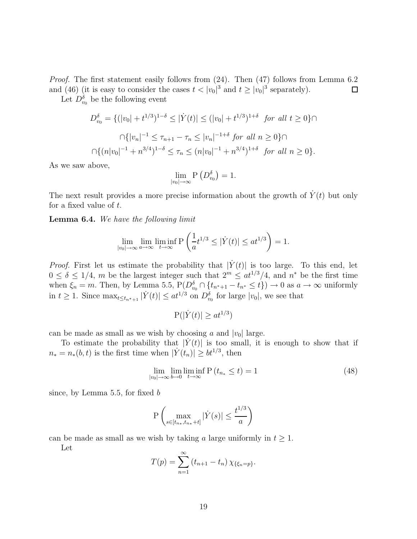Proof. The first statement easily follows from  $(24)$ . Then  $(47)$  follows from Lemma 6.2 and (46) (it is easy to consider the cases  $t < |v_0|^3$  and  $t \ge |v_0|^3$  separately).  $\Box$ 

Let  $D_{v_0}^{\delta}$  be the following event

$$
D_{v_0}^{\delta} = \{ (|v_0| + t^{1/3})^{1-\delta} \le |\dot{Y}(t)| \le (|v_0| + t^{1/3})^{1+\delta} \text{ for all } t \ge 0 \} \cap
$$
  

$$
\cap \{ |v_n|^{-1} \le \tau_{n+1} - \tau_n \le |v_n|^{-1+\delta} \text{ for all } n \ge 0 \} \cap
$$
  

$$
\cap \{ (n|v_0|^{-1} + n^{3/4})^{1-\delta} \le \tau_n \le (n|v_0|^{-1} + n^{3/4})^{1+\delta} \text{ for all } n \ge 0 \}.
$$

As we saw above,

$$
\lim_{|v_0| \to \infty} P\left(D_{v_0}^{\delta}\right) = 1.
$$

The next result provides a more precise information about the growth of  $\dot{Y}(t)$  but only for a fixed value of  $t$ .

Lemma 6.4. We have the following limit

$$
\lim_{|v_0| \to \infty} \lim_{a \to \infty} \liminf_{t \to \infty} P\left(\frac{1}{a}t^{1/3} \le |\dot{Y}(t)| \le at^{1/3}\right) = 1.
$$

*Proof.* First let us estimate the probability that  $|\dot{Y}(t)|$  is too large. To this end, let  $0 \le \delta \le 1/4$ , m be the largest integer such that  $2^m \le at^{1/3}/4$ , and  $n^*$  be the first time when  $\xi_n = m$ . Then, by Lemma 5.5,  $P(D_{v_0}^{\delta} \cap \{t_{n^*+1} - t_{n^*} \le t\}) \to 0$  as  $a \to \infty$  uniformly in  $t \geq 1$ . Since  $\max_{t \leq t_{n^*+1}} |\dot{Y}(t)| \leq at^{1/3}$  on  $D_{v_0}^{\delta}$  for large  $|v_0|$ , we see that

$$
P(|\dot{Y}(t)| \ge at^{1/3})
$$

can be made as small as we wish by choosing a and  $|v_0|$  large.

To estimate the probability that  $|Y(t)|$  is too small, it is enough to show that if  $n_* = n_*(b, t)$  is the first time when  $|\dot{Y}(t_n)| \geq bt^{1/3}$ , then

$$
\lim_{|v_0| \to \infty} \lim_{b \to 0} \liminf_{t \to \infty} P(t_{n_*} \le t) = 1
$$
\n(48)

since, by Lemma 5.5, for fixed b

$$
\mathbf{P}\left(\max_{s\in[t_{n_*},t_{n_*}+t]}|\dot{Y}(s)|\leq\frac{t^{1/3}}{a}\right)
$$

can be made as small as we wish by taking a large uniformly in  $t \geq 1$ .

Let

$$
T(p) = \sum_{n=1}^{\infty} (t_{n+1} - t_n) \chi_{\{\xi_n = p\}}.
$$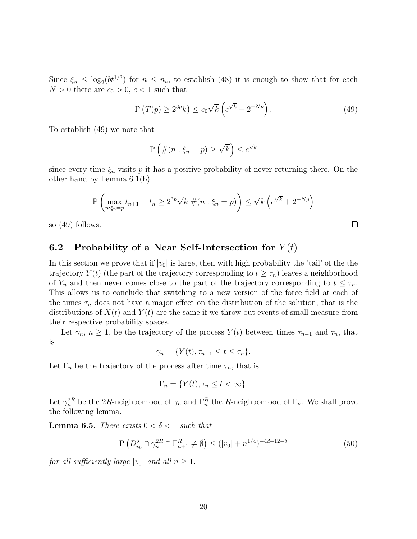Since  $\xi_n \leq \log_2(bt^{1/3})$  for  $n \leq n_*$ , to establish (48) it is enough to show that for each  $N > 0$  there are  $c_0 > 0$ ,  $c < 1$  such that

$$
P(T(p) \ge 2^{3p}k) \le c_0\sqrt{k}\left(c^{\sqrt{k}} + 2^{-Np}\right). \tag{49}
$$

To establish (49) we note that

$$
P\left(\#(n:\xi_n=p)\geq \sqrt{k}\right)\leq c^{\sqrt{k}}
$$

since every time  $\xi_n$  visits p it has a positive probability of never returning there. On the other hand by Lemma 6.1(b)

$$
P\left(\max_{n:\xi_n=p} t_{n+1} - t_n \ge 2^{3p}\sqrt{k} | \#(n:\xi_n=p)\right) \le \sqrt{k} \left(c^{\sqrt{k}} + 2^{-Np}\right)
$$

so (49) follows.

#### 6.2 Probability of a Near Self-Intersection for  $Y(t)$

In this section we prove that if  $|v_0|$  is large, then with high probability the 'tail' of the the trajectory  $Y(t)$  (the part of the trajectory corresponding to  $t \geq \tau_n$ ) leaves a neighborhood of  $Y_n$  and then never comes close to the part of the trajectory corresponding to  $t \leq \tau_n$ . This allows us to conclude that switching to a new version of the force field at each of the times  $\tau_n$  does not have a major effect on the distribution of the solution, that is the distributions of  $X(t)$  and  $Y(t)$  are the same if we throw out events of small measure from their respective probability spaces.

Let  $\gamma_n$ ,  $n \geq 1$ , be the trajectory of the process  $Y(t)$  between times  $\tau_{n-1}$  and  $\tau_n$ , that is

 $\gamma_n = \{Y(t), \tau_{n-1} \le t \le \tau_n\}.$ 

Let  $\Gamma_n$  be the trajectory of the process after time  $\tau_n$ , that is

$$
\Gamma_n = \{ Y(t), \tau_n \le t < \infty \}.
$$

Let  $\gamma_n^{2R}$  be the 2R-neighborhood of  $\gamma_n$  and  $\Gamma_n^R$  the R-neighborhood of  $\Gamma_n$ . We shall prove the following lemma.

**Lemma 6.5.** There exists  $0 < \delta < 1$  such that

$$
P\left(D_{v_0}^{\delta} \cap \gamma_n^{2R} \cap \Gamma_{n+1}^R \neq \emptyset\right) \le (|v_0| + n^{1/4})^{-4d + 12 - \delta} \tag{50}
$$

for all sufficiently large  $|v_0|$  and all  $n \geq 1$ .

 $\Box$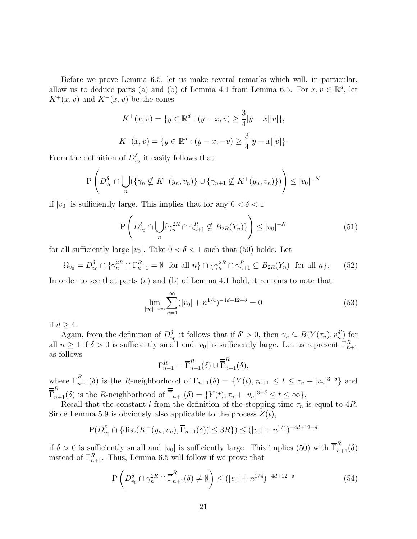Before we prove Lemma 6.5, let us make several remarks which will, in particular, allow us to deduce parts (a) and (b) of Lemma 4.1 from Lemma 6.5. For  $x, v \in \mathbb{R}^d$ , let  $K^+(x, v)$  and  $K^-(x, v)$  be the cones

$$
K^+(x, v) = \{ y \in \mathbb{R}^d : (y - x, v) \ge \frac{3}{4} |y - x||v| \},
$$
  

$$
K^-(x, v) = \{ y \in \mathbb{R}^d : (y - x, -v) \ge \frac{3}{4} |y - x||v| \}.
$$

From the definition of  $D_{v_0}^{\delta}$  it easily follows that

$$
P\left(D_{v_0}^{\delta} \cap \bigcup_n (\{\gamma_n \nsubseteq K^-(y_n, v_n)\} \cup \{\gamma_{n+1} \nsubseteq K^+(y_n, v_n)\})\right) \leq |v_0|^{-N}
$$

if  $|v_0|$  is sufficiently large. This implies that for any  $0 < \delta < 1$ 

$$
P\left(D_{v_0}^\delta \cap \bigcup_n \{\gamma_n^{2R} \cap \gamma_{n+1}^R \nsubseteq B_{2R}(Y_n)\}\right) \le |v_0|^{-N} \tag{51}
$$

for all sufficiently large  $|v_0|$ . Take  $0 < \delta < 1$  such that (50) holds. Let

$$
\Omega_{v_0} = D_{v_0}^{\delta} \cap \{ \gamma_n^{2R} \cap \Gamma_{n+1}^R = \emptyset \text{ for all } n \} \cap \{ \gamma_n^{2R} \cap \gamma_{n+1}^R \subseteq B_{2R}(Y_n) \text{ for all } n \}. \tag{52}
$$

In order to see that parts (a) and (b) of Lemma 4.1 hold, it remains to note that

$$
\lim_{|v_0| \to \infty} \sum_{n=1}^{\infty} (|v_0| + n^{1/4})^{-4d + 12 - \delta} = 0 \tag{53}
$$

if  $d \geq 4$ .

Again, from the definition of  $D_{v_0}^{\delta}$  it follows that if  $\delta' > 0$ , then  $\gamma_n \subseteq B(Y(\tau_n), v_n^{\delta'}$  $\binom{b'}{n}$  for all  $n \geq 1$  if  $\delta > 0$  is sufficiently small and  $|v_0|$  is sufficiently large. Let us represent  $\Gamma_{n+1}^R$ as follows

$$
\Gamma_{n+1}^R = \overline{\Gamma}_{n+1}^R(\delta) \cup \overline{\overline{\Gamma}}_{n+1}^R(\delta),
$$

where  $\overline{\Gamma}_{n+1}^R(\delta)$  is the R-neighborhood of  $\overline{\Gamma}_{n+1}(\delta) = \{Y(t), \tau_{n+1} \le t \le \tau_n + |v_n|^{3-\delta}\}\$  and  $\overline{\overline{\Gamma}}_{n+1}^{R}(\delta)$  is the R-neighborhood of  $\overline{\overline{\Gamma}}_{n+1}(\delta) = \{Y(t), \tau_n + |v_n|^{3-\delta} \le t \le \infty\}.$ 

Recall that the constant l from the definition of the stopping time  $\tau_n$  is equal to 4R. Since Lemma 5.9 is obviously also applicable to the process  $Z(t)$ ,

$$
P(D_{v_0}^{\delta} \cap {\text{dist}(K^-(y_n, v_n), \overline{\Gamma}_{n+1}(\delta)) \le 3R}) \le (|v_0| + n^{1/4})^{-4d+12-\delta}
$$

if  $\delta > 0$  is sufficiently small and  $|v_0|$  is sufficiently large. This implies (50) with  $\overline{\Gamma}_{n+1}^R(\delta)$ instead of  $\Gamma_{n+1}^R$ . Thus, Lemma 6.5 will follow if we prove that

$$
P\left(D_{v_0}^{\delta} \cap \gamma_n^{2R} \cap \overline{\overline{\Gamma}}_{n+1}^R(\delta) \neq \emptyset\right) \le (|v_0| + n^{1/4})^{-4d + 12 - \delta} \tag{54}
$$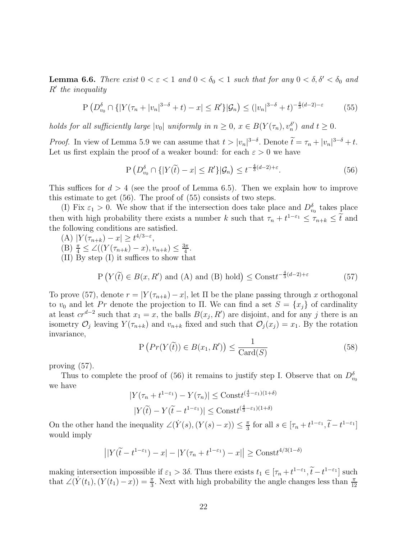**Lemma 6.6.** There exist  $0 < \varepsilon < 1$  and  $0 < \delta_0 < 1$  such that for any  $0 < \delta$ ,  $\delta' < \delta_0$  and R′ the inequality

$$
P\left(D_{v_0}^{\delta} \cap \{|Y(\tau_n + |v_n|^{3-\delta} + t) - x| \le R'\}|\mathcal{G}_n\right) \le (|v_n|^{3-\delta} + t)^{-\frac{4}{3}(d-2)-\varepsilon} \tag{55}
$$

holds for all sufficiently large  $|v_0|$  uniformly in  $n \geq 0$ ,  $x \in B(Y(\tau_n), v_n^{\delta})$  $n \choose n$  and  $t \geq 0$ .

*Proof.* In view of Lemma 5.9 we can assume that  $t > |v_n|^{3-\delta}$ . Denote  $\tilde{t} = \tau_n + |v_n|^{3-\delta} + t$ . Let us first explain the proof of a weaker bound: for each  $\varepsilon > 0$  we have

$$
P\left(D_{v_0}^\delta \cap \{|Y(\tilde{t}) - x| \le R'\} | \mathcal{G}_n\right) \le t^{-\frac{4}{3}(d-2) + \varepsilon}.
$$
\n(56)

This suffices for  $d > 4$  (see the proof of Lemma 6.5). Then we explain how to improve this estimate to get (56). The proof of (55) consists of two steps.

(I) Fix  $\varepsilon_1 > 0$ . We show that if the intersection does take place and  $D_{v_0}^{\delta}$  takes place then with high probability there exists a number k such that  $\tau_n + t^{1-\epsilon_1} \leq \tau_{n+k} \leq \tilde{t}$  and the following conditions are satisfied.

- (A)  $|Y(\tau_{n+k}) x| \geq t^{4/3 \varepsilon},$
- $(B) \frac{\pi}{4} \leq \angle ((Y(\tau_{n+k}) x), v_{n+k}) \leq \frac{3\pi}{4}$  $\frac{3\pi}{4}$ .

(II) By step (I) it suffices to show that

$$
P(Y(\tilde{t}) \in B(x, R') \text{ and (A) and (B) hold}) \leq \text{Const}^{-\frac{4}{3}(d-2) + \varepsilon}
$$
 (57)

To prove (57), denote  $r = |Y(\tau_{n+k}) - x|$ , let  $\Pi$  be the plane passing through x orthogonal to  $v_0$  and let Pr denote the projection to Π. We can find a set  $S = \{x_j\}$  of cardinality at least  $cr^{d-2}$  such that  $x_1 = x$ , the balls  $B(x_j, R')$  are disjoint, and for any j there is an isometry  $\mathcal{O}_j$  leaving  $Y(\tau_{n+k})$  and  $v_{n+k}$  fixed and such that  $\mathcal{O}_j(x_j) = x_1$ . By the rotation invariance,

$$
P\left(Pr(Y(\tilde{t})) \in B(x_1, R')\right) \le \frac{1}{Card(S)}
$$
\n(58)

proving (57).

Thus to complete the proof of (56) it remains to justify step I. Observe that on  $D_{v_0}^{\delta}$ we have

$$
|Y(\tau_n + t^{1-\varepsilon_1}) - Y(\tau_n)| \le \text{Const}^{(\frac{4}{3}-\varepsilon_1)(1+\delta)}
$$
  

$$
|Y(\widetilde{t}) - Y(\widetilde{t} - t^{1-\varepsilon_1})| \le \text{Const}^{(\frac{4}{3}-\varepsilon_1)(1+\delta)}
$$

On the other hand the inequality  $\angle(Y(s), (Y(s) - x)) \leq \frac{\pi}{3}$  $\frac{\pi}{3}$  for all  $s \in [\tau_n + t^{1-\epsilon_1}, \tilde{t} - t^{1-\epsilon_1}]$ would imply

$$
\left| \left| Y(\widetilde{t} - t^{1-\varepsilon_1}) - x \right| - \left| Y(\tau_n + t^{1-\varepsilon_1}) - x \right| \right| \geq \text{Const}^{4/3(1-\delta)}
$$

making intersection impossible if  $\varepsilon_1 > 3\delta$ . Thus there exists  $t_1 \in [\tau_n + t^{1-\varepsilon_1}, \tilde{t} - t^{1-\varepsilon_1}]$  such that  $\angle(Y(t_1), (Y(t_1) - x)) = \frac{\pi}{3}$ . Next with high probability the angle changes less than  $\frac{\pi}{12}$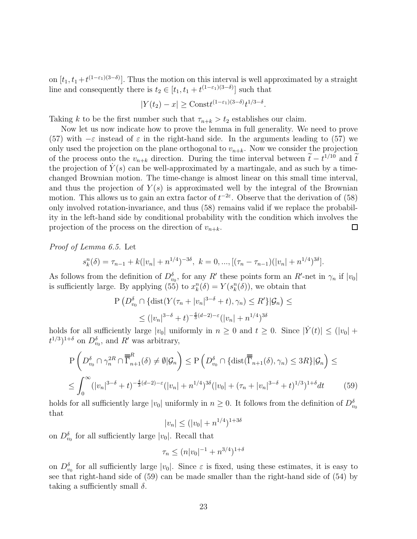on  $[t_1, t_1 + t^{(1-\epsilon_1)(3-\delta)}]$ . Thus the motion on this interval is well approximated by a straight line and consequently there is  $t_2 \in [t_1, t_1 + t^{(1-\varepsilon_1)(3-\delta)}]$  such that

$$
|Y(t_2) - x| \geq \text{Const}^{(1-\varepsilon_1)(3-\delta)} t^{1/3-\delta}.
$$

Taking k to be the first number such that  $\tau_{n+k} > t_2$  establishes our claim.

Now let us now indicate how to prove the lemma in full generality. We need to prove (57) with  $-\varepsilon$  instead of  $\varepsilon$  in the right-hand side. In the arguments leading to (57) we only used the projection on the plane orthogonal to  $v_{n+k}$ . Now we consider the projection of the process onto the  $v_{n+k}$  direction. During the time interval between  $\tilde{t} - t^{1/10}$  and  $\tilde{t}$ the projection of  $Y(s)$  can be well-approximated by a martingale, and as such by a timechanged Brownian motion. The time-change is almost linear on this small time interval, and thus the projection of  $Y(s)$  is approximated well by the integral of the Brownian motion. This allows us to gain an extra factor of  $t^{-2\varepsilon}$ . Observe that the derivation of (58) only involved rotation-invariance, and thus (58) remains valid if we replace the probability in the left-hand side by conditional probability with the condition which involves the projection of the process on the direction of  $v_{n+k}$ .  $\Box$ 

Proof of Lemma 6.5. Let

$$
s_k^n(\delta) = \tau_{n-1} + k(|v_n| + n^{1/4})^{-3\delta}, \ k = 0, ..., [(\tau_n - \tau_{n-1})(|v_n| + n^{1/4})^{3\delta}].
$$

As follows from the definition of  $D_{v_0}^{\delta}$ , for any R' these points form an R'-net in  $\gamma_n$  if  $|v_0|$ is sufficiently large. By applying  $(55)$  to  $x_k^n(\delta) = Y(s_k^n(\delta))$ , we obtain that

$$
P\left(D_{v_0}^{\delta} \cap \{\text{dist}(Y(\tau_n + |v_n|^{3-\delta} + t), \gamma_n) \le R'\}|\mathcal{G}_n\right) \le
$$
  
\$\le (|v\_n|^{3-\delta} + t)^{-\frac{4}{3}(d-2) - \varepsilon}(|v\_n| + n^{1/4})^{3\delta}\$

holds for all sufficiently large  $|v_0|$  uniformly in  $n \geq 0$  and  $t \geq 0$ . Since  $|\dot{Y}(t)| \leq (|v_0| +$  $(t^{1/3})^{1+\delta}$  on  $D_{v_0}^{\delta}$ , and R' was arbitrary,

$$
P\left(D_{v_0}^{\delta} \cap \gamma_n^{2R} \cap \overline{\overline{\Gamma}}_{n+1}^R(\delta) \neq \emptyset | \mathcal{G}_n\right) \leq P\left(D_{v_0}^{\delta} \cap \{\text{dist}(\overline{\overline{\Gamma}}_{n+1}(\delta), \gamma_n) \leq 3R\} | \mathcal{G}_n\right) \leq
$$
  

$$
\leq \int_0^{\infty} (|v_n|^{3-\delta} + t)^{-\frac{4}{3}(d-2) - \varepsilon} (|v_n| + n^{1/4})^{3\delta} (|v_0| + (\tau_n + |v_n|^{3-\delta} + t)^{1/3})^{1+\delta} dt \qquad (59)
$$

holds for all sufficiently large  $|v_0|$  uniformly in  $n \geq 0$ . It follows from the definition of  $D_{v_0}^{\delta}$ that

$$
|v_n| \le (|v_0| + n^{1/4})^{1+3\delta}
$$

on  $D_{v_0}^{\delta}$  for all sufficiently large  $|v_0|$ . Recall that

$$
\tau_n \le (n|v_0|^{-1} + n^{3/4})^{1+\delta}
$$

on  $D_{v_0}^{\delta}$  for all sufficiently large  $|v_0|$ . Since  $\varepsilon$  is fixed, using these estimates, it is easy to see that right-hand side of (59) can be made smaller than the right-hand side of (54) by taking a sufficiently small  $\delta$ .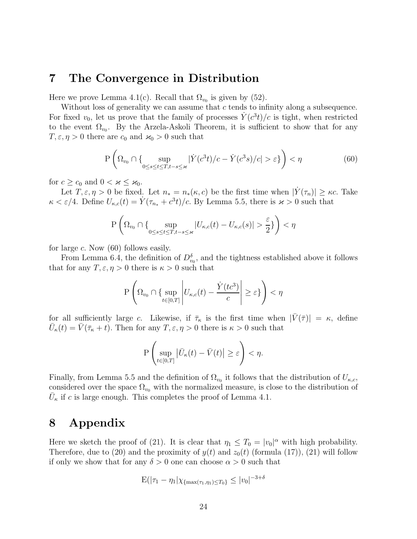### 7 The Convergence in Distribution

Here we prove Lemma 4.1(c). Recall that  $\Omega_{v_0}$  is given by (52).

Without loss of generality we can assume that  $c$  tends to infinity along a subsequence. For fixed  $v_0$ , let us prove that the family of processes  $\dot{Y}(c^3t)/c$  is tight, when restricted to the event  $\Omega_{v_0}$ . By the Arzela-Askoli Theorem, it is sufficient to show that for any  $T, \varepsilon, \eta > 0$  there are  $c_0$  and  $\varkappa_0 > 0$  such that

$$
P\left(\Omega_{v_0} \cap \{\sup_{0 \le s \le t \le T, t-s \le \varkappa} |\dot{Y}(c^3t)/c - \dot{Y}(c^3s)/c| > \varepsilon\}\right) < \eta
$$
\n
$$
(60)
$$

for  $c \geq c_0$  and  $0 < \varkappa \leq \varkappa_0$ .

Let  $T, \varepsilon, \eta > 0$  be fixed. Let  $n_* = n_*(\kappa, c)$  be the first time when  $|\dot{Y}(\tau_n)| \geq \kappa c$ . Take  $\kappa < \varepsilon/4$ . Define  $U_{\kappa,c}(t) = \dot{Y}(\tau_{n_*} + c^3t)/c$ . By Lemma 5.5, there is  $\varkappa > 0$  such that

$$
\mathbf{P}\left(\Omega_{v_0}\cap\{\sup_{0\leq s\leq t\leq T, t-s\leq \varkappa}|U_{\kappa,c}(t)-U_{\kappa,c}(s)|>\frac{\varepsilon}{2}\}\right)<\eta
$$

for large  $c$ . Now  $(60)$  follows easily.

From Lemma 6.4, the definition of  $D_{v_0}^{\delta}$ , and the tightness established above it follows that for any  $T, \varepsilon, \eta > 0$  there is  $\kappa > 0$  such that

$$
\mathbf{P}\left(\Omega_{v_0} \cap \{\sup_{t \in [0,T]} \left| U_{\kappa,c}(t) - \frac{\dot{Y}(tc^3)}{c} \right| \geq \varepsilon\}\right) < \eta
$$

for all sufficiently large c. Likewise, if  $\bar{\tau}_{\kappa}$  is the first time when  $|\bar{V}(\bar{\tau})| = \kappa$ , define  $\bar{U}_{\kappa}(t) = \bar{V}(\bar{\tau}_{\kappa} + t)$ . Then for any  $T, \varepsilon, \eta > 0$  there is  $\kappa > 0$  such that

$$
\mathbf{P}\left(\sup_{t\in[0,T]}\left|\bar{U}_{\kappa}(t)-\bar{V}(t)\right|\geq \varepsilon\right)<\eta.
$$

Finally, from Lemma 5.5 and the definition of  $\Omega_{v_0}$  it follows that the distribution of  $U_{\kappa,c}$ , considered over the space  $\Omega_{v_0}$  with the normalized measure, is close to the distribution of  $\bar{U}_{\kappa}$  if c is large enough. This completes the proof of Lemma 4.1.

# 8 Appendix

Here we sketch the proof of (21). It is clear that  $\eta_1 \leq T_0 = |v_0|^\alpha$  with high probability. Therefore, due to (20) and the proximity of  $y(t)$  and  $z_0(t)$  (formula (17)), (21) will follow if only we show that for any  $\delta > 0$  one can choose  $\alpha > 0$  such that

$$
E(|\tau_1 - \eta_1| \chi_{\{\max(\tau_1, \eta_1) \le T_0\}} \le |v_0|^{-3+\delta}
$$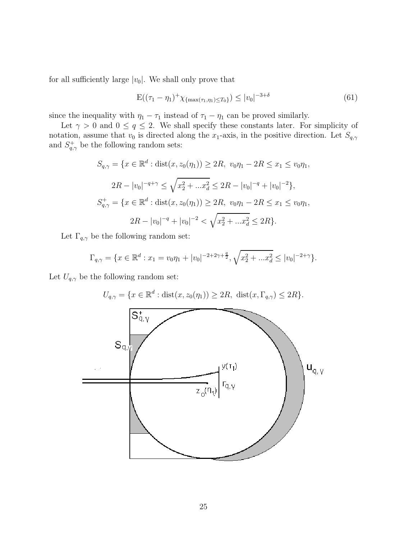for all sufficiently large  $|v_0|$ . We shall only prove that

$$
E((\tau_1 - \eta_1)^+ \chi_{\{\max(\tau_1, \eta_1) \le T_0\}}) \le |v_0|^{-3+\delta} \tag{61}
$$

since the inequality with  $\eta_1 - \tau_1$  instead of  $\tau_1 - \eta_1$  can be proved similarly.

Let  $\gamma > 0$  and  $0 \le q \le 2$ . We shall specify these constants later. For simplicity of notation, assume that  $v_0$  is directed along the  $x_1$ -axis, in the positive direction. Let  $S_{q,\gamma}$ and  $S_{q,\gamma}^+$  be the following random sets:

$$
S_{q,\gamma} = \{x \in \mathbb{R}^d : \text{dist}(x, z_0(\eta_1)) \ge 2R, \ v_0\eta_1 - 2R \le x_1 \le v_0\eta_1,
$$
  

$$
2R - |v_0|^{-q+\gamma} \le \sqrt{x_2^2 + ... x_d^2} \le 2R - |v_0|^{-q} + |v_0|^{-2}\},
$$
  

$$
S_{q,\gamma}^+ = \{x \in \mathbb{R}^d : \text{dist}(x, z_0(\eta_1)) \ge 2R, \ v_0\eta_1 - 2R \le x_1 \le v_0\eta_1,
$$
  

$$
2R - |v_0|^{-q} + |v_0|^{-2} < \sqrt{x_2^2 + ... x_d^2} \le 2R\}.
$$

Let  $\Gamma_{q,\gamma}$  be the following random set:

$$
\Gamma_{q,\gamma} = \{ x \in \mathbb{R}^d : x_1 = v_0 \eta_1 + |v_0|^{-2+2\gamma+\frac{q}{2}}, \sqrt{x_2^2 + ... x_d^2} \le |v_0|^{-2+\gamma} \}.
$$

Let  $U_{q,\gamma}$  be the following random set:

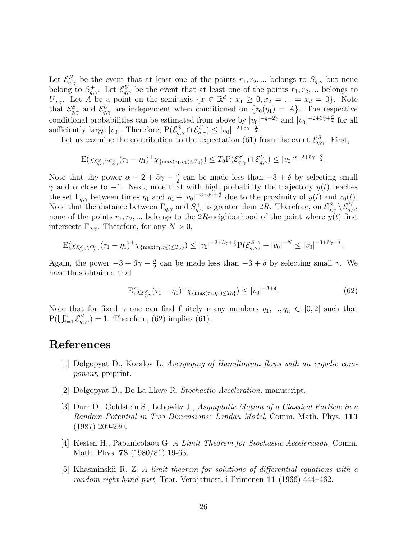Let  $\mathcal{E}_{q,\gamma}^S$  be the event that at least one of the points  $r_1, r_2, ...$  belongs to  $S_{q,\gamma}$  but none belong to  $S_{q,\gamma}^+$ . Let  $\mathcal{E}_{q,\gamma}^U$  be the event that at least one of the points  $r_1, r_2, ...$  belongs to  $U_{q,\gamma}$ . Let A be a point on the semi-axis  $\{x \in \mathbb{R}^d : x_1 \geq 0, x_2 = ... = x_d = 0\}$ . Note that  $\mathcal{E}_{q,\gamma}^S$  and  $\mathcal{E}_{q,\gamma}^U$  are independent when conditioned on  $\{z_0(\eta_1)=A\}$ . The respective conditional probabilities can be estimated from above by  $|v_0|^{-q+2\gamma}$  and  $|v_0|^{-2+3\gamma+\frac{q}{2}}$  for all sufficiently large  $|v_0|$ . Therefore,  $P(\mathcal{E}_{q,\gamma}^S \cap \mathcal{E}_{q,\gamma}^U) \leq |v_0|^{-2+5\gamma-\frac{q}{2}}$ .

Let us examine the contribution to the expectation (61) from the event  $\mathcal{E}_{q,\gamma}^{S}$ . First,

$$
\mathbf{E}(\chi_{\mathcal{E}_{q,\gamma}^S\cap\mathcal{E}_{q,\gamma}^U}(\tau_1-\eta_1)^+\chi_{\{\max(\tau_1,\eta_1)\leq T_0\}})\leq T_0\mathbf{P}(\mathcal{E}_{q,\gamma}^S\cap\mathcal{E}_{q,\gamma}^U)\leq |v_0|^{\alpha-2+5\gamma-\frac{q}{2}}.
$$

Note that the power  $\alpha - 2 + 5\gamma - \frac{q}{2}$  $\frac{q}{2}$  can be made less than  $-3 + \delta$  by selecting small γ and α close to -1. Next, note that with high probability the trajectory  $y(t)$  reaches the set  $\Gamma_{q,\gamma}$  between times  $\eta_1$  and  $\eta_1 + |v_0|^{-3+3\gamma+\frac{q}{2}}$  due to the proximity of  $y(t)$  and  $z_0(t)$ . Note that the distance between  $\Gamma_{q,\gamma}$  and  $S^+_{q,\gamma}$  is greater than 2R. Therefore, on  $\mathcal{E}^S_{q,\gamma} \setminus \mathcal{E}^U_{q,\gamma}$ , none of the points  $r_1, r_2, ...$  belongs to the  $2R$ -neighborhood of the point where  $y(t)$  first intersects  $\Gamma_{q,\gamma}$ . Therefore, for any  $N > 0$ ,

$$
\mathbf{E}(\chi_{\mathcal{E}_{q,\gamma}^S \setminus \mathcal{E}_{q,\gamma}^U}(\tau_1 - \eta_1)^+ \chi_{\{\max(\tau_1,\eta_1) \le T_0\}}) \le |v_0|^{-3+3\gamma+\frac{q}{2}} \mathbf{P}(\mathcal{E}_{q,\gamma}^S) + |v_0|^{-N} \le |v_0|^{-3+6\gamma-\frac{q}{2}}.
$$

Again, the power  $-3 + 6\gamma - \frac{q}{2}$  $\frac{q}{2}$  can be made less than  $-3 + \delta$  by selecting small  $\gamma$ . We have thus obtained that

$$
E(\chi_{\mathcal{E}_{q,\gamma}^S}(\tau_1 - \eta_1)^+ \chi_{\{\max(\tau_1,\eta_1) \le T_0\}}) \le |v_0|^{-3+\delta}.
$$
 (62)

Note that for fixed  $\gamma$  one can find finitely many numbers  $q_1, ..., q_n \in [0,2]$  such that  $P(\bigcup_{i=1}^{n} \mathcal{E}_{q_i,\gamma}^S) = 1$ . Therefore, (62) implies (61).

## References

- [1] Dolgopyat D., Koralov L. Avergaging of Hamiltonian flows with an ergodic component, preprint.
- [2] Dolgopyat D., De La Llave R. Stochastic Acceleration, manuscript.
- [3] Durr D., Goldstein S., Lebowitz J., Asymptotic Motion of a Classical Particle in a Random Potential in Two Dimensions: Landau Model, Comm. Math. Phys. 113 (1987) 209-230.
- [4] Kesten H., Papanicolaou G. A Limit Theorem for Stochastic Acceleration, Comm. Math. Phys. **78** (1980/81) 19-63.
- [5] Khasminskii R. Z. A limit theorem for solutions of differential equations with a random right hand part, Teor. Verojatnost. i Primenen 11 (1966) 444–462.